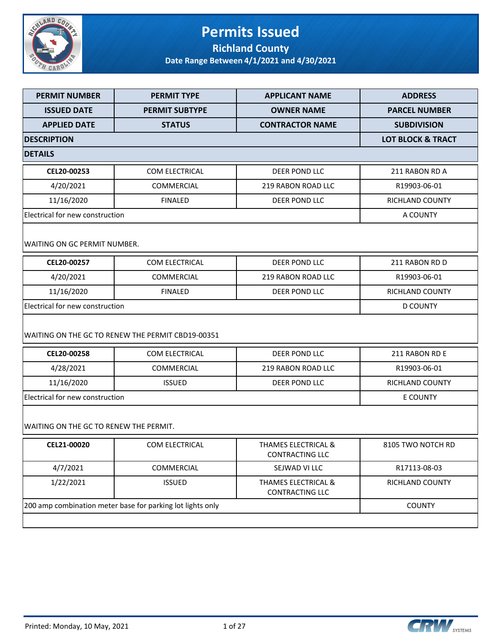

### **Permits Issued Richland County**

| <b>PERMIT NUMBER</b>                   | <b>PERMIT TYPE</b>                                         | <b>APPLICANT NAME</b>                                    | <b>ADDRESS</b>               |  |
|----------------------------------------|------------------------------------------------------------|----------------------------------------------------------|------------------------------|--|
| <b>ISSUED DATE</b>                     | <b>PERMIT SUBTYPE</b>                                      | <b>OWNER NAME</b>                                        | <b>PARCEL NUMBER</b>         |  |
| <b>APPLIED DATE</b>                    | <b>STATUS</b>                                              | <b>CONTRACTOR NAME</b>                                   | <b>SUBDIVISION</b>           |  |
| <b>DESCRIPTION</b>                     |                                                            |                                                          | <b>LOT BLOCK &amp; TRACT</b> |  |
| <b>DETAILS</b>                         |                                                            |                                                          |                              |  |
| CEL20-00253                            | <b>COM ELECTRICAL</b>                                      | <b>DEER POND LLC</b>                                     | 211 RABON RD A               |  |
| 4/20/2021                              | <b>COMMERCIAL</b>                                          | <b>219 RABON ROAD LLC</b>                                | R19903-06-01                 |  |
| 11/16/2020                             | <b>FINALED</b>                                             | DEER POND LLC                                            | <b>RICHLAND COUNTY</b>       |  |
| Electrical for new construction        |                                                            |                                                          | A COUNTY                     |  |
| WAITING ON GC PERMIT NUMBER.           |                                                            |                                                          |                              |  |
| CEL20-00257                            | COM ELECTRICAL                                             | DEER POND LLC                                            | 211 RABON RD D               |  |
| 4/20/2021                              | <b>COMMERCIAL</b>                                          | <b>219 RABON ROAD LLC</b>                                | R19903-06-01                 |  |
| 11/16/2020                             | <b>FINALED</b>                                             | DEER POND LLC                                            | RICHLAND COUNTY              |  |
|                                        | Electrical for new construction                            |                                                          |                              |  |
|                                        | WAITING ON THE GC TO RENEW THE PERMIT CBD19-00351          |                                                          |                              |  |
| CEL20-00258                            | COM ELECTRICAL                                             | <b>DEER POND LLC</b>                                     | 211 RABON RD E               |  |
| 4/28/2021                              | COMMERCIAL                                                 | <b>219 RABON ROAD LLC</b>                                | R19903-06-01                 |  |
| 11/16/2020                             | <b>ISSUED</b>                                              | DEER POND LLC                                            | RICHLAND COUNTY              |  |
| Electrical for new construction        |                                                            |                                                          | E COUNTY                     |  |
| WAITING ON THE GC TO RENEW THE PERMIT. |                                                            |                                                          |                              |  |
| CEL21-00020                            | COM ELECTRICAL                                             | <b>THAMES ELECTRICAL &amp;</b><br>CONTRACTING LLC        | 8105 TWO NOTCH RD            |  |
| 4/7/2021                               | COMMERCIAL                                                 | SEJWAD VI LLC                                            | R17113-08-03                 |  |
| 1/22/2021                              | <b>ISSUED</b>                                              | <b>THAMES ELECTRICAL &amp;</b><br><b>CONTRACTING LLC</b> | RICHLAND COUNTY              |  |
|                                        | 200 amp combination meter base for parking lot lights only |                                                          | <b>COUNTY</b>                |  |
|                                        |                                                            |                                                          |                              |  |
|                                        |                                                            |                                                          |                              |  |

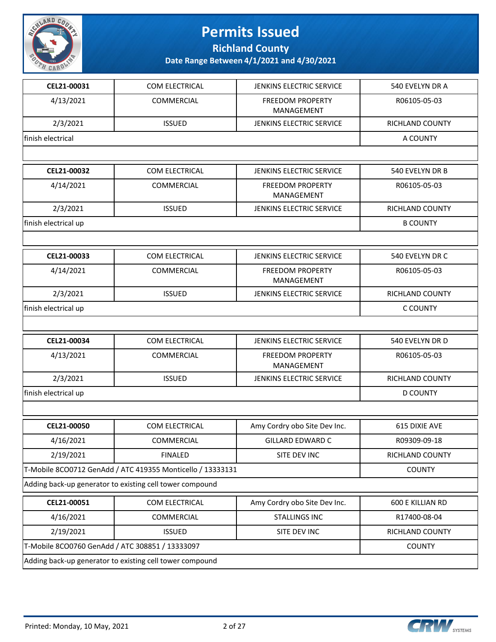

**Richland County**

| CEL21-00031          | COM ELECTRICAL                                             | JENKINS ELECTRIC SERVICE              | 540 EVELYN DR A        |  |
|----------------------|------------------------------------------------------------|---------------------------------------|------------------------|--|
| 4/13/2021            | COMMERCIAL                                                 | FREEDOM PROPERTY<br>MANAGEMENT        | R06105-05-03           |  |
| 2/3/2021             | <b>ISSUED</b>                                              | JENKINS ELECTRIC SERVICE              | RICHLAND COUNTY        |  |
| finish electrical    |                                                            |                                       | A COUNTY               |  |
|                      |                                                            |                                       |                        |  |
| CEL21-00032          | COM ELECTRICAL                                             | JENKINS ELECTRIC SERVICE              | 540 EVELYN DR B        |  |
| 4/14/2021            | COMMERCIAL                                                 | <b>FREEDOM PROPERTY</b><br>MANAGEMENT | R06105-05-03           |  |
| 2/3/2021             | <b>ISSUED</b>                                              | JENKINS ELECTRIC SERVICE              | RICHLAND COUNTY        |  |
| finish electrical up |                                                            |                                       | <b>B COUNTY</b>        |  |
|                      |                                                            |                                       |                        |  |
| CEL21-00033          | <b>COM ELECTRICAL</b>                                      | <b>JENKINS ELECTRIC SERVICE</b>       | 540 EVELYN DR C        |  |
| 4/14/2021            | COMMERCIAL                                                 | <b>FREEDOM PROPERTY</b><br>MANAGEMENT | R06105-05-03           |  |
| 2/3/2021             | <b>ISSUED</b>                                              | JENKINS ELECTRIC SERVICE              | <b>RICHLAND COUNTY</b> |  |
| finish electrical up |                                                            |                                       | C COUNTY               |  |
|                      |                                                            |                                       |                        |  |
| CEL21-00034          | COM ELECTRICAL                                             | JENKINS ELECTRIC SERVICE              | 540 EVELYN DR D        |  |
| 4/13/2021            | COMMERCIAL                                                 | <b>FREEDOM PROPERTY</b><br>MANAGEMENT | R06105-05-03           |  |
| 2/3/2021             | <b>ISSUED</b>                                              | JENKINS ELECTRIC SERVICE              | RICHLAND COUNTY        |  |
| finish electrical up | <b>D COUNTY</b>                                            |                                       |                        |  |
|                      |                                                            |                                       |                        |  |
| CEL21-00050          | COM ELECTRICAL                                             | Amy Cordry obo Site Dev Inc.          | 615 DIXIE AVE          |  |
| 4/16/2021            | COMMERCIAL                                                 | GILLARD EDWARD C                      | R09309-09-18           |  |
| 2/19/2021            | <b>FINALED</b>                                             | SITE DEV INC                          | RICHLAND COUNTY        |  |
|                      | T-Mobile 8CO0712 GenAdd / ATC 419355 Monticello / 13333131 |                                       | <b>COUNTY</b>          |  |
|                      | Adding back-up generator to existing cell tower compound   |                                       |                        |  |
| CEL21-00051          | COM ELECTRICAL                                             | Amy Cordry obo Site Dev Inc.          | 600 E KILLIAN RD       |  |
| 4/16/2021            | COMMERCIAL                                                 | <b>STALLINGS INC</b>                  | R17400-08-04           |  |
| 2/19/2021            | <b>ISSUED</b>                                              | SITE DEV INC                          | <b>RICHLAND COUNTY</b> |  |
|                      | T-Mobile 8CO0760 GenAdd / ATC 308851 / 13333097            |                                       |                        |  |
|                      | Adding back-up generator to existing cell tower compound   |                                       |                        |  |

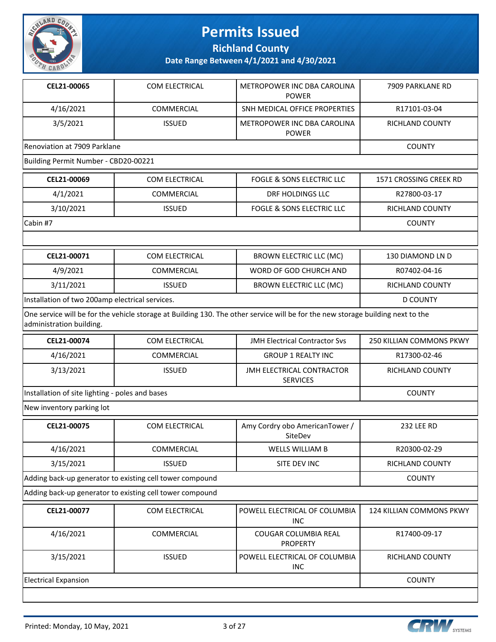

**Richland County**

**Date Range Between 4/1/2021 and 4/30/2021**

| CEL21-00065                                     | <b>COM ELECTRICAL</b>                                    | METROPOWER INC DBA CAROLINA<br><b>POWER</b>                                                                                     | 7909 PARKLANE RD         |
|-------------------------------------------------|----------------------------------------------------------|---------------------------------------------------------------------------------------------------------------------------------|--------------------------|
| 4/16/2021                                       | COMMERCIAL                                               | SNH MEDICAL OFFICE PROPERTIES                                                                                                   | R17101-03-04             |
| 3/5/2021                                        | <b>ISSUED</b>                                            | METROPOWER INC DBA CAROLINA<br><b>POWER</b>                                                                                     | RICHLAND COUNTY          |
| Renoviation at 7909 Parklane                    |                                                          |                                                                                                                                 | <b>COUNTY</b>            |
| Building Permit Number - CBD20-00221            |                                                          |                                                                                                                                 |                          |
| CEL21-00069                                     | COM ELECTRICAL                                           | FOGLE & SONS ELECTRIC LLC                                                                                                       | 1571 CROSSING CREEK RD   |
| 4/1/2021                                        | COMMERCIAL                                               | DRF HOLDINGS LLC                                                                                                                | R27800-03-17             |
| 3/10/2021                                       | <b>ISSUED</b>                                            | <b>FOGLE &amp; SONS ELECTRIC LLC</b>                                                                                            | RICHLAND COUNTY          |
| Cabin #7                                        |                                                          |                                                                                                                                 | <b>COUNTY</b>            |
|                                                 |                                                          |                                                                                                                                 |                          |
| CEL21-00071                                     | COM ELECTRICAL                                           | <b>BROWN ELECTRIC LLC (MC)</b>                                                                                                  | 130 DIAMOND LN D         |
| 4/9/2021                                        | <b>COMMERCIAL</b>                                        | WORD OF GOD CHURCH AND                                                                                                          | R07402-04-16             |
| 3/11/2021                                       | <b>ISSUED</b>                                            | <b>BROWN ELECTRIC LLC (MC)</b>                                                                                                  | RICHLAND COUNTY          |
| Installation of two 200amp electrical services. |                                                          |                                                                                                                                 | <b>D COUNTY</b>          |
| administration building.                        |                                                          | One service will be for the vehicle storage at Building 130. The other service will be for the new storage building next to the |                          |
| CEL21-00074                                     | COM ELECTRICAL                                           | <b>JMH Electrical Contractor Svs</b>                                                                                            | 250 KILLIAN COMMONS PKWY |
| 4/16/2021                                       | <b>COMMERCIAL</b>                                        | <b>GROUP 1 REALTY INC</b>                                                                                                       | R17300-02-46             |
| 3/13/2021                                       | <b>ISSUED</b>                                            | JMH ELECTRICAL CONTRACTOR<br><b>SERVICES</b>                                                                                    | RICHLAND COUNTY          |
| Installation of site lighting - poles and bases |                                                          |                                                                                                                                 | <b>COUNTY</b>            |
| New inventory parking lot                       |                                                          |                                                                                                                                 |                          |
| CEL21-00075                                     | <b>COM ELECTRICAL</b>                                    | Amy Cordry obo AmericanTower /<br>SiteDev                                                                                       | <b>232 LEE RD</b>        |
| 4/16/2021                                       | COMMERCIAL                                               | WELLS WILLIAM B                                                                                                                 | R20300-02-29             |
| 3/15/2021                                       | <b>ISSUED</b>                                            | SITE DEV INC                                                                                                                    | RICHLAND COUNTY          |
|                                                 | Adding back-up generator to existing cell tower compound |                                                                                                                                 | <b>COUNTY</b>            |
|                                                 | Adding back-up generator to existing cell tower compound |                                                                                                                                 |                          |
| CEL21-00077                                     | COM ELECTRICAL                                           | POWELL ELECTRICAL OF COLUMBIA<br><b>INC</b>                                                                                     | 124 KILLIAN COMMONS PKWY |
| 4/16/2021                                       | COMMERCIAL                                               | COUGAR COLUMBIA REAL<br><b>PROPERTY</b>                                                                                         | R17400-09-17             |

Electrical Expansion COUNTY

INC

3/15/2021 | ISSUED POWELL ELECTRICAL OF COLUMBIA



RICHLAND COUNTY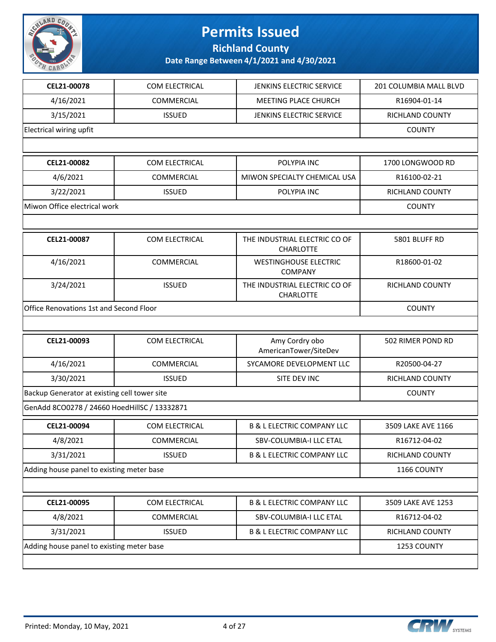

**Richland County**

| CEL21-00078                                  | COM ELECTRICAL    | JENKINS ELECTRIC SERVICE                          | 201 COLUMBIA MALL BLVD |
|----------------------------------------------|-------------------|---------------------------------------------------|------------------------|
| 4/16/2021                                    | COMMERCIAL        | MEETING PLACE CHURCH                              | R16904-01-14           |
| 3/15/2021                                    | <b>ISSUED</b>     | JENKINS ELECTRIC SERVICE                          | RICHLAND COUNTY        |
| Electrical wiring upfit                      |                   |                                                   | <b>COUNTY</b>          |
|                                              |                   |                                                   |                        |
| CEL21-00082                                  | COM ELECTRICAL    | POLYPIA INC                                       | 1700 LONGWOOD RD       |
| 4/6/2021                                     | <b>COMMERCIAL</b> | MIWON SPECIALTY CHEMICAL USA                      | R16100-02-21           |
| 3/22/2021                                    | <b>ISSUED</b>     | POLYPIA INC                                       | <b>RICHLAND COUNTY</b> |
| Miwon Office electrical work                 |                   |                                                   | <b>COUNTY</b>          |
|                                              |                   |                                                   |                        |
| CEL21-00087                                  | COM ELECTRICAL    | THE INDUSTRIAL ELECTRIC CO OF<br><b>CHARLOTTE</b> | 5801 BLUFF RD          |
| 4/16/2021                                    | COMMERCIAL        | <b>WESTINGHOUSE ELECTRIC</b><br><b>COMPANY</b>    | R18600-01-02           |
| 3/24/2021                                    | <b>ISSUED</b>     | THE INDUSTRIAL ELECTRIC CO OF<br>CHARLOTTE        | RICHLAND COUNTY        |
| Office Renovations 1st and Second Floor      |                   |                                                   | <b>COUNTY</b>          |
|                                              |                   |                                                   |                        |
| CEL21-00093                                  | COM ELECTRICAL    | Amy Cordry obo<br>AmericanTower/SiteDev           | 502 RIMER POND RD      |
| 4/16/2021                                    | COMMERCIAL        | SYCAMORE DEVELOPMENT LLC                          | R20500-04-27           |
| 3/30/2021                                    | <b>ISSUED</b>     | SITE DEV INC                                      | RICHLAND COUNTY        |
| Backup Generator at existing cell tower site | <b>COUNTY</b>     |                                                   |                        |
| GenAdd 8CO0278 / 24660 HoedHillSC / 13332871 |                   |                                                   |                        |
| CEL21-00094                                  | COM ELECTRICAL    | <b>B &amp; L ELECTRIC COMPANY LLC</b>             | 3509 LAKE AVE 1166     |
| 4/8/2021                                     | COMMERCIAL        | SBV-COLUMBIA-I LLC ETAL                           | R16712-04-02           |
| 3/31/2021                                    | <b>ISSUED</b>     | <b>B &amp; L ELECTRIC COMPANY LLC</b>             | RICHLAND COUNTY        |
| Adding house panel to existing meter base    |                   |                                                   | 1166 COUNTY            |
|                                              |                   |                                                   |                        |
| CEL21-00095                                  | COM ELECTRICAL    | <b>B &amp; L ELECTRIC COMPANY LLC</b>             | 3509 LAKE AVE 1253     |
| 4/8/2021                                     | COMMERCIAL        | SBV-COLUMBIA-I LLC ETAL                           | R16712-04-02           |
| 3/31/2021                                    | <b>ISSUED</b>     | <b>B &amp; L ELECTRIC COMPANY LLC</b>             | RICHLAND COUNTY        |
| Adding house panel to existing meter base    |                   |                                                   | 1253 COUNTY            |
|                                              |                   |                                                   |                        |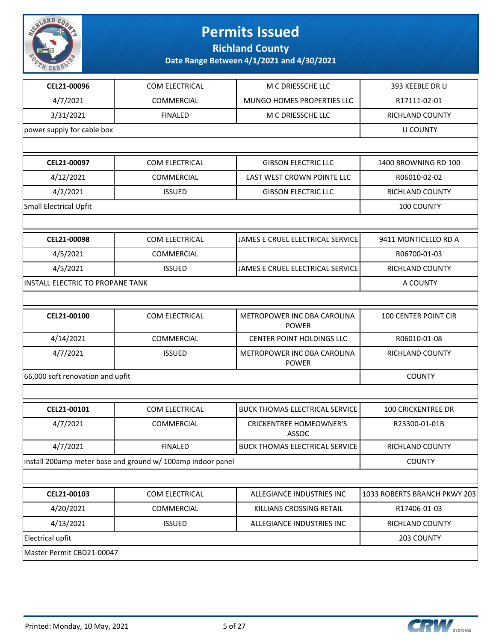

**Richland County**

| CEL21-00096                             | <b>COM ELECTRICAL</b>                                       | M C DRIESSCHE LLC                           | 393 KEEBLE DR U              |
|-----------------------------------------|-------------------------------------------------------------|---------------------------------------------|------------------------------|
| 4/7/2021                                | COMMERCIAL                                                  | <b>MUNGO HOMES PROPERTIES LLC</b>           | R17111-02-01                 |
| 3/31/2021                               | <b>FINALED</b>                                              | M C DRIESSCHE LLC                           | RICHLAND COUNTY              |
| power supply for cable box              |                                                             |                                             | <b>U COUNTY</b>              |
|                                         |                                                             |                                             |                              |
| CEL21-00097                             | COM ELECTRICAL                                              | <b>GIBSON ELECTRIC LLC</b>                  | <b>1400 BROWNING RD 100</b>  |
| 4/12/2021                               | COMMERCIAL                                                  | EAST WEST CROWN POINTE LLC                  | R06010-02-02                 |
| 4/2/2021                                | <b>ISSUED</b>                                               | <b>GIBSON ELECTRIC LLC</b>                  | RICHLAND COUNTY              |
| <b>Small Electrical Upfit</b>           |                                                             |                                             | 100 COUNTY                   |
|                                         |                                                             |                                             |                              |
| CEL21-00098                             | COM ELECTRICAL                                              | JAMES E CRUEL ELECTRICAL SERVICE            | 9411 MONTICELLO RD A         |
| 4/5/2021                                | COMMERCIAL                                                  |                                             | R06700-01-03                 |
| 4/5/2021                                | <b>ISSUED</b>                                               | JAMES E CRUEL ELECTRICAL SERVICE            | RICHLAND COUNTY              |
| <b>INSTALL ELECTRIC TO PROPANE TANK</b> |                                                             |                                             | A COUNTY                     |
|                                         |                                                             |                                             |                              |
| CEL21-00100                             | COM ELECTRICAL                                              | METROPOWER INC DBA CAROLINA<br><b>POWER</b> | <b>100 CENTER POINT CIR</b>  |
| 4/14/2021                               | <b>COMMERCIAL</b>                                           | <b>CENTER POINT HOLDINGS LLC</b>            | R06010-01-08                 |
| 4/7/2021                                | <b>ISSUED</b>                                               | METROPOWER INC DBA CAROLINA<br><b>POWER</b> | RICHLAND COUNTY              |
| 66,000 sqft renovation and upfit        | <b>COUNTY</b>                                               |                                             |                              |
|                                         |                                                             |                                             |                              |
| CEL21-00101                             | COM ELECTRICAL                                              | <b>BUCK THOMAS ELECTRICAL SERVICE</b>       | <b>100 CRICKENTREE DR</b>    |
| 4/7/2021                                | <b>COMMERCIAL</b>                                           | <b>CRICKENTREE HOMEOWNER'S</b><br>ASSOC     | R23300-01-01B                |
| 4/7/2021                                | <b>FINALED</b>                                              | <b>BUCK THOMAS ELECTRICAL SERVICE</b>       | RICHLAND COUNTY              |
|                                         | install 200amp meter base and ground w/ 100amp indoor panel |                                             | <b>COUNTY</b>                |
|                                         |                                                             |                                             |                              |
| CEL21-00103                             | COM ELECTRICAL                                              | ALLEGIANCE INDUSTRIES INC                   | 1033 ROBERTS BRANCH PKWY 203 |
| 4/20/2021                               | COMMERCIAL                                                  | KILLIANS CROSSING RETAIL                    | R17406-01-03                 |
| 4/13/2021                               | <b>ISSUED</b>                                               | ALLEGIANCE INDUSTRIES INC                   | RICHLAND COUNTY              |
| <b>Electrical upfit</b>                 |                                                             |                                             | 203 COUNTY                   |
| Master Permit CBD21-00047               |                                                             |                                             |                              |

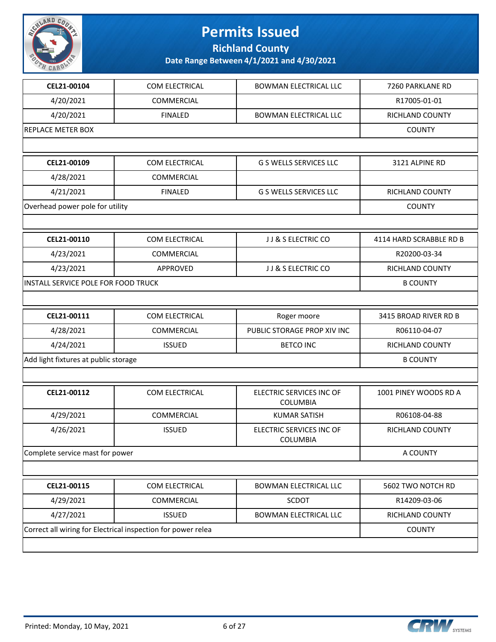

**Richland County**

| CEL21-00104                          | COM ELECTRICAL                                               | <b>BOWMAN ELECTRICAL LLC</b>         | 7260 PARKLANE RD        |
|--------------------------------------|--------------------------------------------------------------|--------------------------------------|-------------------------|
| 4/20/2021                            | COMMERCIAL                                                   |                                      | R17005-01-01            |
| 4/20/2021                            | <b>FINALED</b>                                               | <b>BOWMAN ELECTRICAL LLC</b>         | RICHLAND COUNTY         |
| <b>REPLACE METER BOX</b>             |                                                              |                                      | <b>COUNTY</b>           |
|                                      |                                                              |                                      |                         |
| CEL21-00109                          | COM ELECTRICAL                                               | <b>G S WELLS SERVICES LLC</b>        | 3121 ALPINE RD          |
| 4/28/2021                            | COMMERCIAL                                                   |                                      |                         |
| 4/21/2021                            | <b>FINALED</b>                                               | <b>G S WELLS SERVICES LLC</b>        | RICHLAND COUNTY         |
| Overhead power pole for utility      |                                                              |                                      | <b>COUNTY</b>           |
|                                      |                                                              |                                      |                         |
| CEL21-00110                          | COM ELECTRICAL                                               | JJ & S ELECTRIC CO                   | 4114 HARD SCRABBLE RD B |
| 4/23/2021                            | COMMERCIAL                                                   |                                      | R20200-03-34            |
| 4/23/2021                            | APPROVED                                                     | JJ & S ELECTRIC CO                   | <b>RICHLAND COUNTY</b>  |
| INSTALL SERVICE POLE FOR FOOD TRUCK  |                                                              |                                      | <b>B COUNTY</b>         |
|                                      |                                                              |                                      |                         |
| CEL21-00111                          | COM ELECTRICAL                                               | Roger moore                          | 3415 BROAD RIVER RD B   |
| 4/28/2021                            | COMMERCIAL                                                   | PUBLIC STORAGE PROP XIV INC          | R06110-04-07            |
| 4/24/2021                            | <b>ISSUED</b>                                                | <b>BETCO INC</b>                     | RICHLAND COUNTY         |
| Add light fixtures at public storage |                                                              |                                      | <b>B COUNTY</b>         |
|                                      |                                                              |                                      |                         |
| CEL21-00112                          | COM ELECTRICAL                                               | ELECTRIC SERVICES INC OF<br>COLUMBIA | 1001 PINEY WOODS RD A   |
| 4/29/2021                            | COMMERCIAL                                                   | <b>KUMAR SATISH</b>                  | R06108-04-88            |
| 4/26/2021                            | <b>ISSUED</b>                                                | ELECTRIC SERVICES INC OF<br>COLUMBIA | RICHLAND COUNTY         |
| Complete service mast for power      |                                                              |                                      | A COUNTY                |
|                                      |                                                              |                                      |                         |
| CEL21-00115                          | COM ELECTRICAL                                               | BOWMAN ELECTRICAL LLC                | 5602 TWO NOTCH RD       |
| 4/29/2021                            | COMMERCIAL                                                   | SCDOT                                | R14209-03-06            |
| 4/27/2021                            | <b>ISSUED</b>                                                | <b>BOWMAN ELECTRICAL LLC</b>         | RICHLAND COUNTY         |
|                                      | Correct all wiring for Electrical inspection for power relea |                                      | <b>COUNTY</b>           |
|                                      |                                                              |                                      |                         |

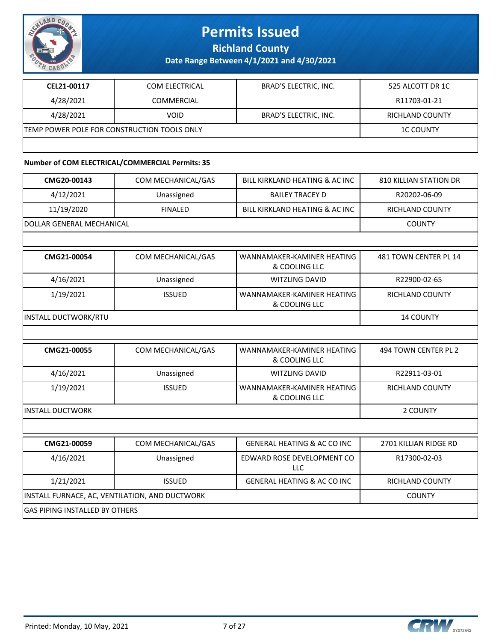

**Richland County**

**Date Range Between 4/1/2021 and 4/30/2021**

| CEL21-00117                                 | COM ELECTRICAL    | BRAD'S ELECTRIC, INC. | 525 ALCOTT DR 1C |
|---------------------------------------------|-------------------|-----------------------|------------------|
| 4/28/2021                                   | <b>COMMERCIAL</b> |                       | R11703-01-21     |
| 4/28/2021                                   | VOID              | BRAD'S ELECTRIC, INC. | RICHLAND COUNTY  |
| TEMP POWER POLE FOR CONSTRUCTION TOOLS ONLY |                   |                       | <b>1C COUNTY</b> |
|                                             |                   |                       |                  |

#### **Number of COM ELECTRICAL/COMMERCIAL Permits: 35**

| CMG20-00143                                    | COM MECHANICAL/GAS | BILL KIRKLAND HEATING & AC INC              | <b>810 KILLIAN STATION DR</b> |
|------------------------------------------------|--------------------|---------------------------------------------|-------------------------------|
| 4/12/2021                                      | Unassigned         | <b>BAILEY TRACEY D</b>                      | R20202-06-09                  |
| 11/19/2020                                     | <b>FINALED</b>     | BILL KIRKLAND HEATING & AC INC              | RICHLAND COUNTY               |
| DOLLAR GENERAL MECHANICAL                      |                    |                                             | <b>COUNTY</b>                 |
|                                                |                    |                                             |                               |
| CMG21-00054                                    | COM MECHANICAL/GAS | WANNAMAKER-KAMINER HEATING<br>& COOLING LLC | 481 TOWN CENTER PL 14         |
| 4/16/2021                                      | Unassigned         | <b>WITZLING DAVID</b>                       | R22900-02-65                  |
| 1/19/2021                                      | <b>ISSUED</b>      | WANNAMAKER-KAMINER HEATING<br>& COOLING LLC | RICHLAND COUNTY               |
| <b>INSTALL DUCTWORK/RTU</b>                    |                    |                                             | <b>14 COUNTY</b>              |
|                                                |                    |                                             |                               |
| CMG21-00055                                    | COM MECHANICAL/GAS | WANNAMAKER-KAMINER HEATING<br>& COOLING LLC | 494 TOWN CENTER PL 2          |
| 4/16/2021                                      | Unassigned         | <b>WITZLING DAVID</b>                       | R22911-03-01                  |
| 1/19/2021                                      | <b>ISSUED</b>      | WANNAMAKER-KAMINER HEATING<br>& COOLING LLC | RICHLAND COUNTY               |
| <b>INSTALL DUCTWORK</b>                        |                    |                                             | 2 COUNTY                      |
|                                                |                    |                                             |                               |
| CMG21-00059                                    | COM MECHANICAL/GAS | <b>GENERAL HEATING &amp; AC CO INC</b>      | 2701 KILLIAN RIDGE RD         |
| 4/16/2021                                      | Unassigned         | EDWARD ROSE DEVELOPMENT CO<br><b>LLC</b>    | R17300-02-03                  |
| 1/21/2021                                      | <b>ISSUED</b>      | <b>GENERAL HEATING &amp; AC CO INC</b>      | RICHLAND COUNTY               |
| INSTALL FURNACE, AC, VENTILATION, AND DUCTWORK | <b>COUNTY</b>      |                                             |                               |
| <b>GAS PIPING INSTALLED BY OTHERS</b>          |                    |                                             |                               |

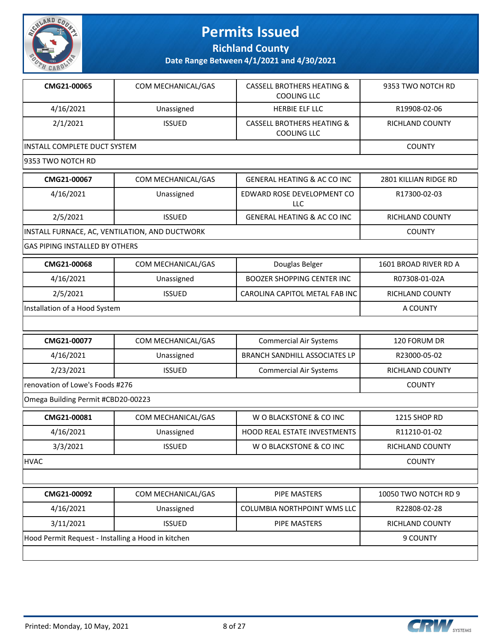

**Richland County**

| CMG21-00065                           | COM MECHANICAL/GAS                             | <b>CASSELL BROTHERS HEATING &amp;</b><br><b>COOLING LLC</b> | 9353 TWO NOTCH RD      |
|---------------------------------------|------------------------------------------------|-------------------------------------------------------------|------------------------|
| 4/16/2021                             | Unassigned                                     | <b>HERBIE ELF LLC</b>                                       | R19908-02-06           |
| 2/1/2021                              | <b>ISSUED</b>                                  | <b>CASSELL BROTHERS HEATING &amp;</b><br><b>COOLING LLC</b> | RICHLAND COUNTY        |
| <b>INSTALL COMPLETE DUCT SYSTEM</b>   |                                                |                                                             | <b>COUNTY</b>          |
| 9353 TWO NOTCH RD                     |                                                |                                                             |                        |
| CMG21-00067                           | COM MECHANICAL/GAS                             | <b>GENERAL HEATING &amp; AC CO INC</b>                      | 2801 KILLIAN RIDGE RD  |
| 4/16/2021                             | Unassigned                                     | EDWARD ROSE DEVELOPMENT CO<br>LLC                           | R17300-02-03           |
| 2/5/2021                              | <b>ISSUED</b>                                  | <b>GENERAL HEATING &amp; AC CO INC</b>                      | RICHLAND COUNTY        |
|                                       | INSTALL FURNACE, AC, VENTILATION, AND DUCTWORK |                                                             | <b>COUNTY</b>          |
| <b>GAS PIPING INSTALLED BY OTHERS</b> |                                                |                                                             |                        |
| CMG21-00068                           | COM MECHANICAL/GAS                             | Douglas Belger                                              | 1601 BROAD RIVER RD A  |
| 4/16/2021                             | Unassigned                                     | <b>BOOZER SHOPPING CENTER INC</b>                           | R07308-01-02A          |
| 2/5/2021                              | <b>ISSUED</b>                                  | CAROLINA CAPITOL METAL FAB INC                              | RICHLAND COUNTY        |
| Installation of a Hood System         |                                                |                                                             | A COUNTY               |
|                                       |                                                |                                                             |                        |
| CMG21-00077                           | COM MECHANICAL/GAS                             | <b>Commercial Air Systems</b>                               | 120 FORUM DR           |
| 4/16/2021                             | Unassigned                                     | <b>BRANCH SANDHILL ASSOCIATES LP</b>                        | R23000-05-02           |
| 2/23/2021                             | <b>ISSUED</b>                                  | <b>Commercial Air Systems</b>                               | RICHLAND COUNTY        |
| renovation of Lowe's Foods #276       | <b>COUNTY</b>                                  |                                                             |                        |
| Omega Building Permit #CBD20-00223    |                                                |                                                             |                        |
| CMG21-00081                           | COM MECHANICAL/GAS                             | W O BLACKSTONE & CO INC                                     | 1215 SHOP RD           |
| 4/16/2021                             | Unassigned                                     | <b>HOOD REAL ESTATE INVESTMENTS</b>                         | R11210-01-02           |
| 3/3/2021                              | <b>ISSUED</b>                                  | W O BLACKSTONE & CO INC                                     | <b>RICHLAND COUNTY</b> |
| <b>HVAC</b>                           |                                                |                                                             | <b>COUNTY</b>          |
|                                       |                                                |                                                             |                        |
| CMG21-00092                           | COM MECHANICAL/GAS                             | <b>PIPE MASTERS</b>                                         | 10050 TWO NOTCH RD 9   |
|                                       |                                                | <b>COLUMBIA NORTHPOINT WMS LLC</b>                          | R22808-02-28           |
| 4/16/2021                             | Unassigned                                     |                                                             |                        |
| 3/11/2021                             | <b>ISSUED</b>                                  | <b>PIPE MASTERS</b>                                         | RICHLAND COUNTY        |

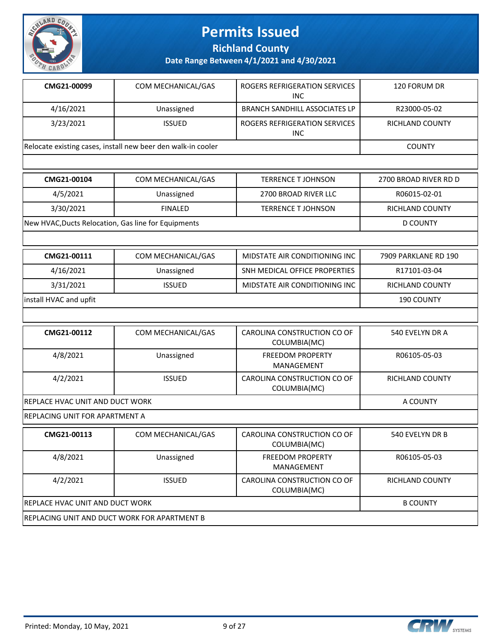

**Richland County**

**Date Range Between 4/1/2021 and 4/30/2021**

| CMG21-00099 | COM MECHANICAL/GAS                                           | ROGERS REFRIGERATION SERVICES<br>INC | 120 FORUM DR           |
|-------------|--------------------------------------------------------------|--------------------------------------|------------------------|
| 4/16/2021   | Unassigned                                                   | <b>BRANCH SANDHILL ASSOCIATES LP</b> | R23000-05-02           |
| 3/23/2021   | <b>ISSUED</b>                                                | ROGERS REFRIGERATION SERVICES<br>INC | <b>RICHLAND COUNTY</b> |
|             | Relocate existing cases, install new beer den walk-in cooler |                                      |                        |

| CMG21-00104                                         | COM MECHANICAL/GAS | <b>TERRENCE T JOHNSON</b> | 2700 BROAD RIVER RD D |
|-----------------------------------------------------|--------------------|---------------------------|-----------------------|
| 4/5/2021                                            | Unassigned         | 2700 BROAD RIVER LLC      | R06015-02-01          |
| 3/30/2021                                           | <b>FINALED</b>     | TERRENCE T JOHNSON        | RICHLAND COUNTY       |
| New HVAC, Ducts Relocation, Gas line for Equipments |                    |                           | D COUNTY              |

| CMG21-00111            | COM MECHANICAL/GAS | MIDSTATE AIR CONDITIONING INC | 7909 PARKLANE RD 190 |
|------------------------|--------------------|-------------------------------|----------------------|
| 4/16/2021              | Unassigned         | SNH MEDICAL OFFICE PROPERTIES | R17101-03-04         |
| 3/31/2021              | <b>ISSUED</b>      | MIDSTATE AIR CONDITIONING INC | RICHLAND COUNTY      |
| install HVAC and upfit |                    |                               | <b>190 COUNTY</b>    |

| CMG21-00112                             | COM MECHANICAL/GAS | CAROLINA CONSTRUCTION CO OF<br>COLUMBIA(MC) | 540 EVELYN DR A        |
|-----------------------------------------|--------------------|---------------------------------------------|------------------------|
| 4/8/2021                                | Unassigned         | <b>FREEDOM PROPERTY</b><br>MANAGEMENT       | R06105-05-03           |
| 4/2/2021                                | <b>ISSUED</b>      | CAROLINA CONSTRUCTION CO OF<br>COLUMBIA(MC) | <b>RICHLAND COUNTY</b> |
| <b>IREPLACE HVAC UNIT AND DUCT WORK</b> |                    |                                             | A COUNTY               |

REPLACING UNIT FOR APARTMENT A

| CMG21-00113                                  | COM MECHANICAL/GAS | CAROLINA CONSTRUCTION CO OF<br>COLUMBIA(MC) | 540 EVELYN DR B |  |
|----------------------------------------------|--------------------|---------------------------------------------|-----------------|--|
| 4/8/2021                                     | Unassigned         | <b>FREEDOM PROPERTY</b><br>MANAGEMENT       | R06105-05-03    |  |
| 4/2/2021                                     | <b>ISSUED</b>      | CAROLINA CONSTRUCTION CO OF<br>COLUMBIA(MC) | RICHLAND COUNTY |  |
| IREPLACE HVAC UNIT AND DUCT WORK             |                    |                                             | <b>B COUNTY</b> |  |
| REPLACING UNIT AND DUCT WORK FOR APARTMENT B |                    |                                             |                 |  |

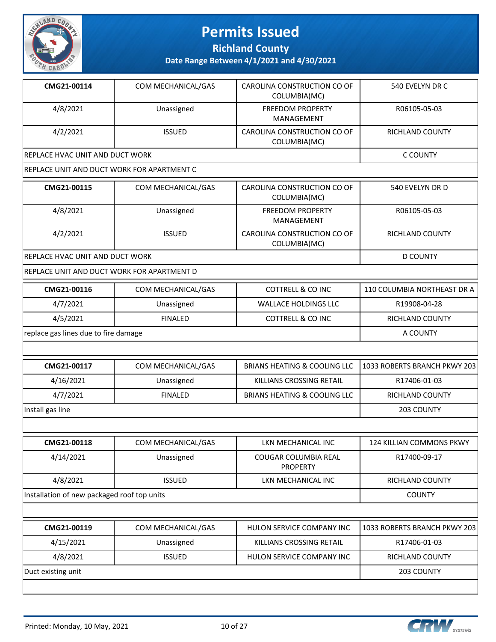

**Richland County**

| CMG21-00114                                 | COM MECHANICAL/GAS | CAROLINA CONSTRUCTION CO OF<br>COLUMBIA(MC) | 540 EVELYN DR C              |
|---------------------------------------------|--------------------|---------------------------------------------|------------------------------|
| 4/8/2021                                    | Unassigned         | <b>FREEDOM PROPERTY</b><br>MANAGEMENT       | R06105-05-03                 |
| 4/2/2021                                    | <b>ISSUED</b>      | CAROLINA CONSTRUCTION CO OF<br>COLUMBIA(MC) | <b>RICHLAND COUNTY</b>       |
| REPLACE HVAC UNIT AND DUCT WORK             |                    |                                             | <b>C COUNTY</b>              |
| REPLACE UNIT AND DUCT WORK FOR APARTMENT C  |                    |                                             |                              |
| CMG21-00115                                 | COM MECHANICAL/GAS | CAROLINA CONSTRUCTION CO OF<br>COLUMBIA(MC) | 540 EVELYN DR D              |
| 4/8/2021                                    | Unassigned         | <b>FREEDOM PROPERTY</b><br>MANAGEMENT       | R06105-05-03                 |
| 4/2/2021                                    | <b>ISSUED</b>      | CAROLINA CONSTRUCTION CO OF<br>COLUMBIA(MC) | RICHLAND COUNTY              |
| <b>REPLACE HVAC UNIT AND DUCT WORK</b>      |                    |                                             | <b>D COUNTY</b>              |
| REPLACE UNIT AND DUCT WORK FOR APARTMENT D  |                    |                                             |                              |
| CMG21-00116                                 | COM MECHANICAL/GAS | <b>COTTRELL &amp; CO INC</b>                | 110 COLUMBIA NORTHEAST DR A  |
| 4/7/2021                                    | Unassigned         | <b>WALLACE HOLDINGS LLC</b>                 | R19908-04-28                 |
| 4/5/2021                                    | <b>FINALED</b>     | <b>COTTRELL &amp; CO INC</b>                | RICHLAND COUNTY              |
| replace gas lines due to fire damage        |                    |                                             | A COUNTY                     |
|                                             |                    |                                             |                              |
| CMG21-00117                                 | COM MECHANICAL/GAS | <b>BRIANS HEATING &amp; COOLING LLC</b>     | 1033 ROBERTS BRANCH PKWY 203 |
| 4/16/2021                                   | Unassigned         | KILLIANS CROSSING RETAIL                    | R17406-01-03                 |
| 4/7/2021                                    | <b>FINALED</b>     | <b>BRIANS HEATING &amp; COOLING LLC</b>     | <b>RICHLAND COUNTY</b>       |
| Install gas line                            |                    |                                             | 203 COUNTY                   |
|                                             |                    |                                             |                              |
| CMG21-00118                                 | COM MECHANICAL/GAS | LKN MECHANICAL INC                          | 124 KILLIAN COMMONS PKWY     |
| 4/14/2021                                   | Unassigned         | COUGAR COLUMBIA REAL<br><b>PROPERTY</b>     | R17400-09-17                 |
| 4/8/2021                                    | <b>ISSUED</b>      | LKN MECHANICAL INC                          | RICHLAND COUNTY              |
| Installation of new packaged roof top units |                    |                                             | <b>COUNTY</b>                |
|                                             |                    |                                             |                              |
| CMG21-00119                                 | COM MECHANICAL/GAS | HULON SERVICE COMPANY INC                   | 1033 ROBERTS BRANCH PKWY 203 |
| 4/15/2021                                   | Unassigned         | KILLIANS CROSSING RETAIL                    | R17406-01-03                 |
| 4/8/2021                                    | <b>ISSUED</b>      | HULON SERVICE COMPANY INC                   | RICHLAND COUNTY              |
| Duct existing unit                          |                    |                                             | 203 COUNTY                   |
|                                             |                    |                                             |                              |

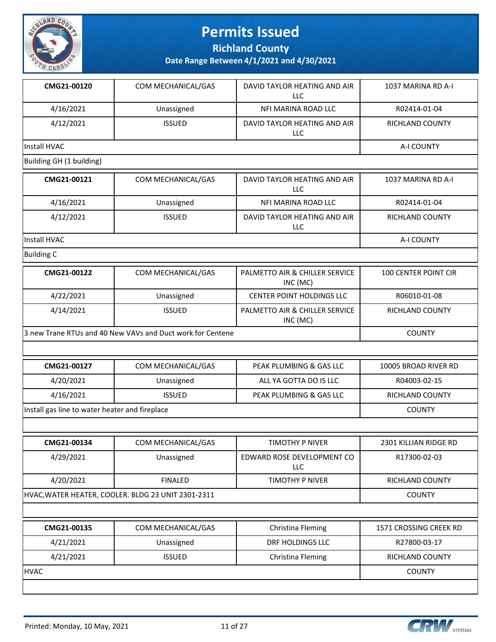

**Richland County**

| CMG21-00120              | COM MECHANICAL/GAS | DAVID TAYLOR HEATING AND AIR<br>LLC.      | 1037 MARINA RD A-I          |
|--------------------------|--------------------|-------------------------------------------|-----------------------------|
| 4/16/2021                | Unassigned         | NFI MARINA ROAD LLC                       | R02414-01-04                |
| 4/12/2021                | <b>ISSUED</b>      | DAVID TAYLOR HEATING AND AIR<br>LLC       | <b>RICHLAND COUNTY</b>      |
| <b>Install HVAC</b>      |                    |                                           | A-I COUNTY                  |
| Building GH (1 building) |                    |                                           |                             |
| CMG21-00121              | COM MECHANICAL/GAS | DAVID TAYI OR HEATING AND AIR<br>LLC      | 1037 MARINA RD A-I          |
| 4/16/2021                | Unassigned         | NFI MARINA ROAD LLC                       | R02414-01-04                |
| 4/12/2021                | <b>ISSUED</b>      | DAVID TAYLOR HEATING AND AIR<br>LLC       | <b>RICHLAND COUNTY</b>      |
| Install HVAC             |                    |                                           | A-I COUNTY                  |
| <b>Building C</b>        |                    |                                           |                             |
| CMG21-00122              | COM MECHANICAL/GAS | PALMETTO AIR & CHILLER SERVICE<br>INC(MC) | <b>100 CENTER POINT CIR</b> |
| 4/22/2021                | Unassigned         | <b>CENTER POINT HOLDINGS LLC</b>          | R06010-01-08                |

| 4/14/2021 | ISSUED                                                      | PALMETTO AIR & CHILLER SERVICE<br>INC (MC) | RICHLAND COUNTY |
|-----------|-------------------------------------------------------------|--------------------------------------------|-----------------|
|           | 13 new Trane RTUs and 40 New VAVs and Duct work for Centene |                                            | <b>COUNTY</b>   |

| CMG21-00127                                    | COM MECHANICAL/GAS | PEAK PLUMBING & GAS LLC | 10005 BROAD RIVER RD   |
|------------------------------------------------|--------------------|-------------------------|------------------------|
| 4/20/2021                                      | Unassigned         | ALL YA GOTTA DO IS LLC  | R04003-02-15           |
| 4/16/2021                                      | <b>ISSUED</b>      | PEAK PLUMBING & GAS LLC | <b>RICHLAND COUNTY</b> |
| Install gas line to water heater and fireplace |                    |                         | <b>COUNTY</b>          |

| CMG21-00134                                       | COM MECHANICAL/GAS | TIMOTHY P NIVER                          | 2301 KILLIAN RIDGE RD |
|---------------------------------------------------|--------------------|------------------------------------------|-----------------------|
| 4/29/2021                                         | Unassigned         | EDWARD ROSE DEVELOPMENT CO<br><b>LLC</b> | R17300-02-03          |
| 4/20/2021                                         | <b>FINALED</b>     | TIMOTHY P NIVER                          | RICHLAND COUNTY       |
| HVAC,WATER HEATER, COOLER. BLDG 23 UNIT 2301-2311 |                    |                                          | <b>COUNTY</b>         |

| CMG21-00135 | COM MECHANICAL/GAS | Christina Fleming | 1571 CROSSING CREEK RD |
|-------------|--------------------|-------------------|------------------------|
| 4/21/2021   | Unassigned         | DRF HOLDINGS LLC  | R27800-03-17           |
| 4/21/2021   | <b>ISSUED</b>      | Christina Fleming | <b>RICHLAND COUNTY</b> |
| <b>HVAC</b> | <b>COUNTY</b>      |                   |                        |
|             |                    |                   |                        |

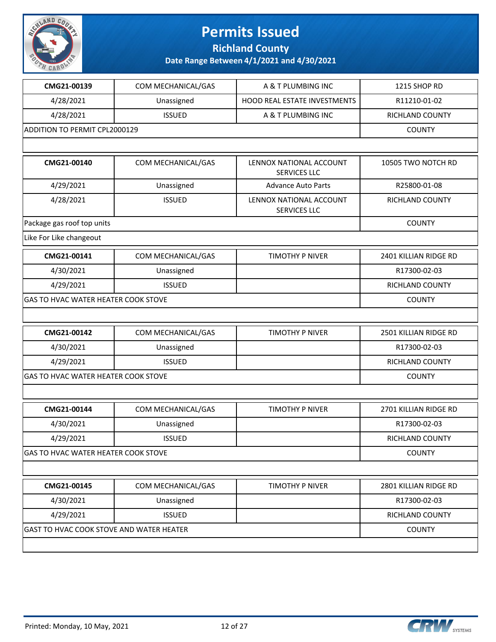

**Richland County**

| CMG21-00139                              | COM MECHANICAL/GAS | A & T PLUMBING INC                             | 1215 SHOP RD          |
|------------------------------------------|--------------------|------------------------------------------------|-----------------------|
| 4/28/2021                                | Unassigned         | <b>HOOD REAL ESTATE INVESTMENTS</b>            | R11210-01-02          |
| 4/28/2021                                | <b>ISSUED</b>      | A & T PLUMBING INC                             | RICHLAND COUNTY       |
| ADDITION TO PERMIT CPL2000129            |                    |                                                | <b>COUNTY</b>         |
|                                          |                    |                                                |                       |
| CMG21-00140                              | COM MECHANICAL/GAS | LENNOX NATIONAL ACCOUNT<br><b>SERVICES LLC</b> | 10505 TWO NOTCH RD    |
| 4/29/2021                                | Unassigned         | <b>Advance Auto Parts</b>                      | R25800-01-08          |
| 4/28/2021                                | <b>ISSUED</b>      | LENNOX NATIONAL ACCOUNT<br><b>SERVICES LLC</b> | RICHLAND COUNTY       |
| Package gas roof top units               |                    |                                                | <b>COUNTY</b>         |
| Like For Like changeout                  |                    |                                                |                       |
| CMG21-00141                              | COM MECHANICAL/GAS | TIMOTHY P NIVER                                | 2401 KILLIAN RIDGE RD |
| 4/30/2021                                | Unassigned         |                                                | R17300-02-03          |
| 4/29/2021                                | <b>ISSUED</b>      |                                                | RICHLAND COUNTY       |
| GAS TO HVAC WATER HEATER COOK STOVE      |                    |                                                | <b>COUNTY</b>         |
|                                          |                    |                                                |                       |
| CMG21-00142                              | COM MECHANICAL/GAS | TIMOTHY P NIVER                                | 2501 KILLIAN RIDGE RD |
| 4/30/2021                                | Unassigned         |                                                | R17300-02-03          |
| 4/29/2021                                | <b>ISSUED</b>      |                                                | RICHLAND COUNTY       |
| GAS TO HVAC WATER HEATER COOK STOVE      |                    |                                                | <b>COUNTY</b>         |
|                                          |                    |                                                |                       |
| CMG21-00144                              | COM MECHANICAL/GAS | TIMOTHY P NIVER                                | 2701 KILLIAN RIDGE RD |
| 4/30/2021                                | Unassigned         |                                                | R17300-02-03          |
| 4/29/2021                                | <b>ISSUED</b>      |                                                | RICHLAND COUNTY       |
| GAS TO HVAC WATER HEATER COOK STOVE      |                    |                                                | <b>COUNTY</b>         |
|                                          |                    |                                                |                       |
| CMG21-00145                              | COM MECHANICAL/GAS | TIMOTHY P NIVER                                | 2801 KILLIAN RIDGE RD |
| 4/30/2021                                | Unassigned         |                                                | R17300-02-03          |
| 4/29/2021                                | <b>ISSUED</b>      |                                                | RICHLAND COUNTY       |
| GAST TO HVAC COOK STOVE AND WATER HEATER |                    |                                                | <b>COUNTY</b>         |
|                                          |                    |                                                |                       |

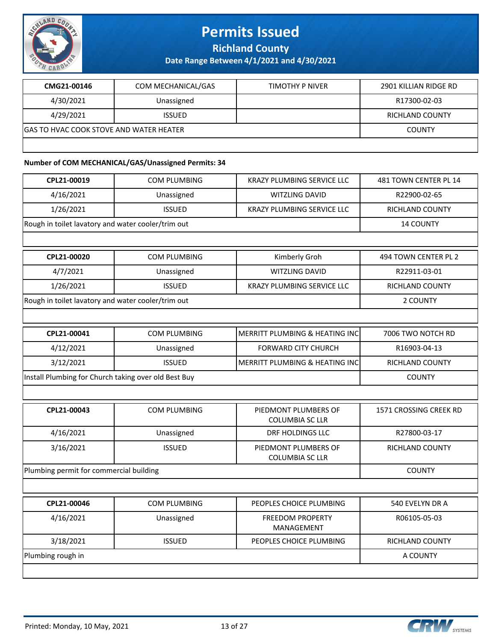

**Richland County**

**Date Range Between 4/1/2021 and 4/30/2021**

| CMG21-00146                              | COM MECHANICAL/GAS | TIMOTHY P NIVER | 2901 KILLIAN RIDGE RD |
|------------------------------------------|--------------------|-----------------|-----------------------|
| 4/30/2021                                | Unassigned         |                 | R17300-02-03          |
| 4/29/2021                                | <b>ISSUED</b>      |                 | RICHLAND COUNTY       |
| IGAS TO HVAC COOK STOVE AND WATER HEATER |                    |                 | <b>COUNTY</b>         |
|                                          |                    |                 |                       |

#### **Number of COM MECHANICAL/GAS/Unassigned Permits: 34**

| CPL21-00019                                          | <b>COM PLUMBING</b> | <b>KRAZY PLUMBING SERVICE LLC</b>              | 481 TOWN CENTER PL 14  |
|------------------------------------------------------|---------------------|------------------------------------------------|------------------------|
| 4/16/2021                                            | Unassigned          | <b>WITZLING DAVID</b>                          | R22900-02-65           |
| 1/26/2021                                            | <b>ISSUED</b>       | KRAZY PLUMBING SERVICE LLC                     | RICHLAND COUNTY        |
| Rough in toilet lavatory and water cooler/trim out   |                     |                                                | 14 COUNTY              |
|                                                      |                     |                                                |                        |
| CPL21-00020                                          | <b>COM PLUMBING</b> | Kimberly Groh                                  | 494 TOWN CENTER PL 2   |
| 4/7/2021                                             | Unassigned          | <b>WITZLING DAVID</b>                          | R22911-03-01           |
| 1/26/2021                                            | <b>ISSUED</b>       | KRAZY PLUMBING SERVICE LLC                     | RICHLAND COUNTY        |
| Rough in toilet lavatory and water cooler/trim out   |                     |                                                | 2 COUNTY               |
|                                                      |                     |                                                |                        |
| CPL21-00041                                          | <b>COM PLUMBING</b> | MERRITT PLUMBING & HEATING INC                 | 7006 TWO NOTCH RD      |
| 4/12/2021                                            | Unassigned          | <b>FORWARD CITY CHURCH</b>                     | R16903-04-13           |
| 3/12/2021                                            | <b>ISSUED</b>       | <b>MERRITT PLUMBING &amp; HEATING INC</b>      | <b>RICHLAND COUNTY</b> |
| Install Plumbing for Church taking over old Best Buy |                     |                                                | <b>COUNTY</b>          |
|                                                      |                     |                                                |                        |
| CPL21-00043                                          |                     | PIEDMONT PLUMBERS OF                           | 1571 CROSSING CREEK RD |
|                                                      | <b>COM PLUMBING</b> | <b>COLUMBIA SC LLR</b>                         |                        |
| 4/16/2021                                            | Unassigned          | DRF HOLDINGS LLC                               | R27800-03-17           |
| 3/16/2021                                            | <b>ISSUED</b>       | PIEDMONT PLUMBERS OF<br><b>COLUMBIA SC LLR</b> | RICHLAND COUNTY        |
| Plumbing permit for commercial building              |                     |                                                | <b>COUNTY</b>          |
|                                                      |                     |                                                |                        |
| CPL21-00046                                          | <b>COM PLUMBING</b> | PEOPLES CHOICE PLUMBING                        | 540 EVELYN DR A        |
| 4/16/2021                                            | Unassigned          | <b>FREEDOM PROPERTY</b><br>MANAGEMENT          | R06105-05-03           |
| 3/18/2021                                            | <b>ISSUED</b>       | PEOPLES CHOICE PLUMBING                        | <b>RICHLAND COUNTY</b> |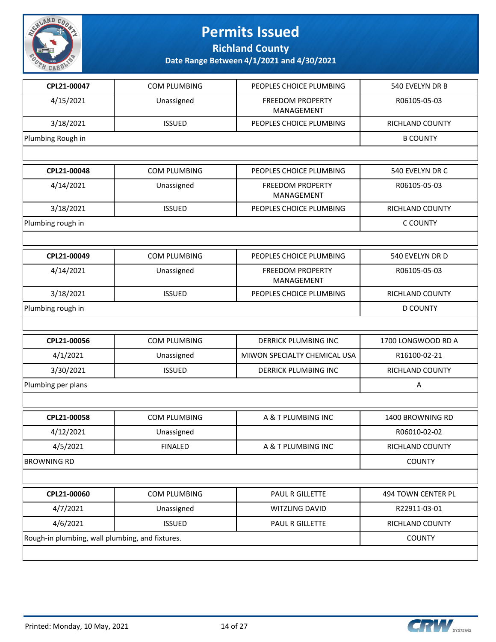

**Richland County**

| CPL21-00047                                     | <b>COM PLUMBING</b> | PEOPLES CHOICE PLUMBING               | 540 EVELYN DR B    |
|-------------------------------------------------|---------------------|---------------------------------------|--------------------|
| 4/15/2021                                       | Unassigned          | <b>FREEDOM PROPERTY</b><br>MANAGEMENT | R06105-05-03       |
| 3/18/2021                                       | <b>ISSUED</b>       | PEOPLES CHOICE PLUMBING               | RICHLAND COUNTY    |
| Plumbing Rough in                               |                     |                                       | <b>B COUNTY</b>    |
|                                                 |                     |                                       |                    |
| CPL21-00048                                     | <b>COM PLUMBING</b> | PEOPLES CHOICE PLUMBING               | 540 EVELYN DR C    |
| 4/14/2021                                       | Unassigned          | <b>FREEDOM PROPERTY</b><br>MANAGEMENT | R06105-05-03       |
| 3/18/2021                                       | <b>ISSUED</b>       | PEOPLES CHOICE PLUMBING               | RICHLAND COUNTY    |
| Plumbing rough in                               |                     |                                       | C COUNTY           |
|                                                 |                     |                                       |                    |
| CPL21-00049                                     | <b>COM PLUMBING</b> | PEOPLES CHOICE PLUMBING               | 540 EVELYN DR D    |
| 4/14/2021                                       | Unassigned          | <b>FREEDOM PROPERTY</b><br>MANAGEMENT | R06105-05-03       |
| 3/18/2021                                       | <b>ISSUED</b>       | PEOPLES CHOICE PLUMBING               | RICHLAND COUNTY    |
| Plumbing rough in                               |                     |                                       | <b>D COUNTY</b>    |
|                                                 |                     |                                       |                    |
| CPL21-00056                                     | <b>COM PLUMBING</b> | <b>DERRICK PLUMBING INC</b>           | 1700 LONGWOOD RD A |
| 4/1/2021                                        | Unassigned          | MIWON SPECIALTY CHEMICAL USA          | R16100-02-21       |
| 3/30/2021                                       | <b>ISSUED</b>       | <b>DERRICK PLUMBING INC</b>           | RICHLAND COUNTY    |
| Plumbing per plans                              | Α                   |                                       |                    |
|                                                 |                     |                                       |                    |
| CPL21-00058                                     | <b>COM PLUMBING</b> | A & T PLUMBING INC                    | 1400 BROWNING RD   |
| 4/12/2021                                       | Unassigned          |                                       | R06010-02-02       |
| 4/5/2021                                        | <b>FINALED</b>      | A & T PLUMBING INC                    | RICHLAND COUNTY    |
| <b>BROWNING RD</b>                              |                     |                                       | <b>COUNTY</b>      |
|                                                 |                     |                                       |                    |
| CPL21-00060                                     | COM PLUMBING        | PAUL R GILLETTE                       | 494 TOWN CENTER PL |
| 4/7/2021                                        | Unassigned          | WITZLING DAVID                        | R22911-03-01       |
| 4/6/2021                                        | <b>ISSUED</b>       | PAUL R GILLETTE                       | RICHLAND COUNTY    |
| Rough-in plumbing, wall plumbing, and fixtures. |                     |                                       | <b>COUNTY</b>      |
|                                                 |                     |                                       |                    |

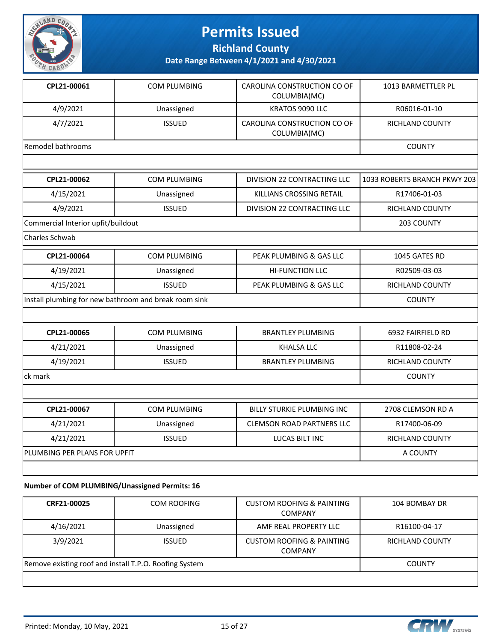

**Richland County**

**Date Range Between 4/1/2021 and 4/30/2021**

| CPL21-00061                        | <b>COM PLUMBING</b>                                   | CAROLINA CONSTRUCTION CO OF<br>COLUMBIA(MC) | 1013 BARMETTLER PL           |
|------------------------------------|-------------------------------------------------------|---------------------------------------------|------------------------------|
| 4/9/2021                           | Unassigned                                            | KRATOS 9090 LLC                             | R06016-01-10                 |
| 4/7/2021                           | <b>ISSUED</b>                                         | CAROLINA CONSTRUCTION CO OF<br>COLUMBIA(MC) | RICHLAND COUNTY              |
| Remodel bathrooms                  |                                                       |                                             | <b>COUNTY</b>                |
|                                    |                                                       |                                             |                              |
| CPL21-00062                        | COM PLUMBING                                          | DIVISION 22 CONTRACTING LLC                 | 1033 ROBERTS BRANCH PKWY 203 |
| 4/15/2021                          | Unassigned                                            | KILLIANS CROSSING RETAIL                    | R17406-01-03                 |
| 4/9/2021                           | <b>ISSUED</b>                                         | <b>DIVISION 22 CONTRACTING LLC</b>          | RICHLAND COUNTY              |
| Commercial Interior upfit/buildout |                                                       |                                             | 203 COUNTY                   |
| Charles Schwab                     |                                                       |                                             |                              |
| CPL21-00064                        | <b>COM PLUMBING</b>                                   | PEAK PLUMBING & GAS LLC                     | 1045 GATES RD                |
| 4/19/2021                          | Unassigned                                            | <b>HI-FUNCTION LLC</b>                      | R02509-03-03                 |
| 4/15/2021                          | <b>ISSUED</b>                                         | PEAK PLUMBING & GAS LLC                     | RICHLAND COUNTY              |
|                                    | Install plumbing for new bathroom and break room sink |                                             | <b>COUNTY</b>                |
|                                    |                                                       |                                             |                              |
| CPL21-00065                        | <b>COM PLUMBING</b>                                   | <b>BRANTLEY PLUMBING</b>                    | 6932 FAIRFIELD RD            |
| 4/21/2021                          | Unassigned                                            | <b>KHALSA LLC</b>                           | R11808-02-24                 |
| 4/19/2021                          | <b>ISSUED</b>                                         | <b>BRANTLEY PLUMBING</b>                    | <b>RICHLAND COUNTY</b>       |
| ck mark                            |                                                       |                                             | <b>COUNTY</b>                |
|                                    |                                                       |                                             |                              |
| CPL21-00067                        | <b>COM PLUMBING</b>                                   | <b>BILLY STURKIE PLUMBING INC</b>           | 2708 CLEMSON RD A            |
| 4/21/2021                          | Unassigned                                            | <b>CLEMSON ROAD PARTNERS LLC</b>            | R17400-06-09                 |
| 4/21/2021                          | <b>ISSUED</b>                                         | <b>LUCAS BILT INC</b>                       | RICHLAND COUNTY              |
| PLUMBING PER PLANS FOR UPFIT       |                                                       |                                             | A COUNTY                     |
|                                    |                                                       |                                             |                              |

#### **Number of COM PLUMBING/Unassigned Permits: 16**

| CRF21-00025                                            | <b>COM ROOFING</b> | <b>CUSTOM ROOFING &amp; PAINTING</b><br><b>COMPANY</b> | 104 BOMBAY DR   |
|--------------------------------------------------------|--------------------|--------------------------------------------------------|-----------------|
| 4/16/2021                                              | Unassigned         | AMF REAL PROPERTY LLC                                  | R16100-04-17    |
| 3/9/2021                                               | <b>ISSUED</b>      | <b>CUSTOM ROOFING &amp; PAINTING</b><br><b>COMPANY</b> | RICHLAND COUNTY |
| Remove existing roof and install T.P.O. Roofing System |                    |                                                        | <b>COUNTY</b>   |
|                                                        |                    |                                                        |                 |

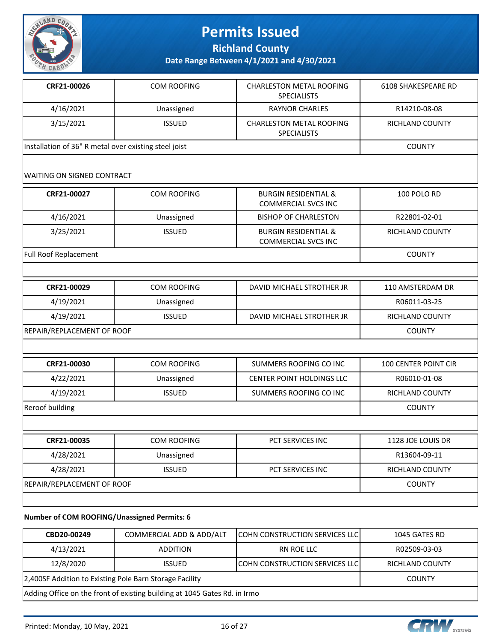

**Richland County**

**Date Range Between 4/1/2021 and 4/30/2021**

| CRF21-00026                                           | <b>COM ROOFING</b> | <b>CHARLESTON METAL ROOFING</b><br><b>SPECIALISTS</b> | 6108 SHAKESPEARE RD |
|-------------------------------------------------------|--------------------|-------------------------------------------------------|---------------------|
| 4/16/2021                                             | Unassigned         | RAYNOR CHARLES                                        | R14210-08-08        |
| 3/15/2021                                             | <b>ISSUED</b>      | <b>CHARLESTON METAL ROOFING</b><br><b>SPECIALISTS</b> | RICHLAND COUNTY     |
| Installation of 36" R metal over existing steel joist |                    |                                                       | <b>COUNTY</b>       |

#### WAITING ON SIGNED CONTRACT

| CRF21-00027                  | COM ROOFING   | <b>BURGIN RESIDENTIAL &amp;</b><br><b>COMMERCIAL SVCS INC</b> | 100 POLO RD            |
|------------------------------|---------------|---------------------------------------------------------------|------------------------|
| 4/16/2021                    | Unassigned    | <b>BISHOP OF CHARLESTON</b>                                   | R22801-02-01           |
| 3/25/2021                    | <b>ISSUED</b> | <b>BURGIN RESIDENTIAL &amp;</b><br><b>COMMERCIAL SVCS INC</b> | <b>RICHLAND COUNTY</b> |
| <b>Full Roof Replacement</b> |               |                                                               | <b>COUNTY</b>          |

| CRF21-00029                | COM ROOFING   | DAVID MICHAEL STROTHER JR | 110 AMSTERDAM DR |
|----------------------------|---------------|---------------------------|------------------|
| 4/19/2021                  | Unassigned    |                           | R06011-03-25     |
| 4/19/2021                  | <b>ISSUED</b> | DAVID MICHAEL STROTHER JR | RICHLAND COUNTY  |
| REPAIR/REPLACEMENT OF ROOF |               |                           | <b>COUNTY</b>    |

| CRF21-00030                | <b>COM ROOFING</b> | SUMMERS ROOFING CO INC           | <b>100 CENTER POINT CIR</b> |
|----------------------------|--------------------|----------------------------------|-----------------------------|
| 4/22/2021                  | Unassigned         | <b>CENTER POINT HOLDINGS LLC</b> | R06010-01-08                |
| 4/19/2021                  | <b>ISSUED</b>      | SUMMERS ROOFING CO INC           | <b>RICHLAND COUNTY</b>      |
| Reroof building            |                    |                                  | <b>COUNTY</b>               |
|                            |                    |                                  |                             |
| CRF21-00035                | COM ROOFING        | <b>PCT SERVICES INC</b>          | 1128 JOE LOUIS DR           |
| 4/28/2021                  | R13604-09-11       |                                  |                             |
| 4/28/2021                  | <b>ISSUED</b>      | <b>PCT SERVICES INC</b>          | <b>RICHLAND COUNTY</b>      |
| REPAIR/REPLACEMENT OF ROOF |                    |                                  | <b>COUNTY</b>               |

#### **Number of COM ROOFING/Unassigned Permits: 6**

| CBD20-00249                                                               | COMMERCIAL ADD & ADD/ALT | <b>COHN CONSTRUCTION SERVICES LLC</b>  | 1045 GATES RD          |
|---------------------------------------------------------------------------|--------------------------|----------------------------------------|------------------------|
| 4/13/2021                                                                 | <b>ADDITION</b>          | RN ROE LLC                             | R02509-03-03           |
| 12/8/2020                                                                 | <b>ISSUED</b>            | <b>ICOHN CONSTRUCTION SERVICES LLC</b> | <b>RICHLAND COUNTY</b> |
| 2,400SF Addition to Existing Pole Barn Storage Facility                   |                          |                                        | <b>COUNTY</b>          |
| Adding Office on the front of existing building at 1045 Gates Rd. in Irmo |                          |                                        |                        |

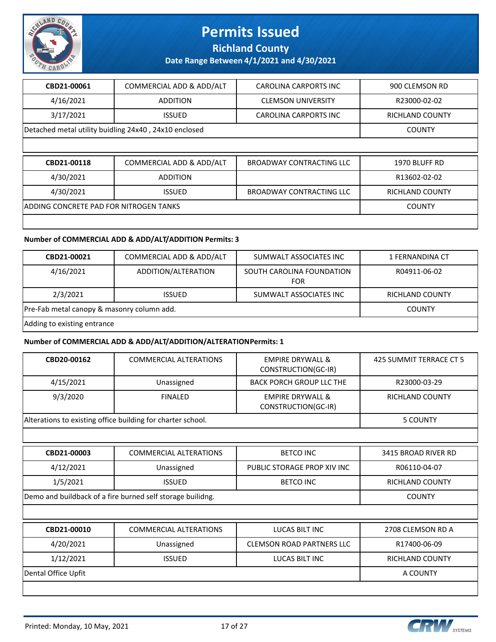

**Richland County**

**Date Range Between 4/1/2021 and 4/30/2021**

| CBD21-00061                            | COMMERCIAL ADD & ADD/ALT                              | <b>CAROLINA CARPORTS INC</b>    | 900 CLEMSON RD         |
|----------------------------------------|-------------------------------------------------------|---------------------------------|------------------------|
| 4/16/2021                              | <b>ADDITION</b>                                       | <b>CLEMSON UNIVERSITY</b>       | R23000-02-02           |
| 3/17/2021                              | <b>ISSUED</b>                                         | <b>CAROLINA CARPORTS INC</b>    | <b>RICHLAND COUNTY</b> |
|                                        | Detached metal utility buidling 24x40, 24x10 enclosed |                                 | <b>COUNTY</b>          |
|                                        |                                                       |                                 |                        |
|                                        |                                                       |                                 |                        |
| CBD21-00118                            | COMMERCIAL ADD & ADD/ALT                              | <b>BROADWAY CONTRACTING LLC</b> | 1970 BLUFF RD          |
| 4/30/2021                              | <b>ADDITION</b>                                       |                                 | R13602-02-02           |
| 4/30/2021                              | <b>ISSUED</b>                                         | <b>BROADWAY CONTRACTING LLC</b> | RICHLAND COUNTY        |
| ADDING CONCRETE PAD FOR NITROGEN TANKS |                                                       |                                 | <b>COUNTY</b>          |

#### **Number of COMMERCIAL ADD & ADD/ALT/ADDITION Permits: 3**

| CBD21-00021                                | COMMERCIAL ADD & ADD/ALT | SUMWALT ASSOCIATES INC                  | 1 FERNANDINA CT        |
|--------------------------------------------|--------------------------|-----------------------------------------|------------------------|
| 4/16/2021                                  | ADDITION/ALTERATION      | SOUTH CAROLINA FOUNDATION<br><b>FOR</b> | R04911-06-02           |
| 2/3/2021                                   | <b>ISSUED</b>            | SUMWALT ASSOCIATES INC                  | <b>RICHLAND COUNTY</b> |
| Pre-Fab metal canopy & masonry column add. |                          |                                         | <b>COUNTY</b>          |
| Adding to evisting entrance                |                          |                                         |                        |

Adding to existing entrance

#### **Number of COMMERCIAL ADD & ADD/ALT/ADDITION/ALTERATION Permits: 1**

| CBD20-00162         | <b>COMMERCIAL ALTERATIONS</b>                               | <b>EMPIRE DRYWALL &amp;</b><br>CONSTRUCTION(GC-IR) | 425 SUMMIT TERRACE CT 5 |
|---------------------|-------------------------------------------------------------|----------------------------------------------------|-------------------------|
| 4/15/2021           | Unassigned                                                  | <b>BACK PORCH GROUP LLC THE</b>                    | R23000-03-29            |
| 9/3/2020            | <b>FINALED</b>                                              | <b>EMPIRE DRYWALL &amp;</b><br>CONSTRUCTION(GC-IR) | <b>RICHLAND COUNTY</b>  |
|                     | Alterations to existing office building for charter school. |                                                    | 5 COUNTY                |
|                     |                                                             |                                                    |                         |
| CBD21-00003         | <b>COMMERCIAL ALTERATIONS</b>                               | <b>BETCO INC</b>                                   | 3415 BROAD RIVER RD     |
| 4/12/2021           | Unassigned                                                  | PUBLIC STORAGE PROP XIV INC                        | R06110-04-07            |
| 1/5/2021            | <b>ISSUED</b>                                               | <b>BETCO INC</b>                                   | <b>RICHLAND COUNTY</b>  |
|                     | Demo and buildback of a fire burned self storage builidng.  |                                                    |                         |
|                     |                                                             |                                                    |                         |
| CBD21-00010         | <b>COMMERCIAL ALTERATIONS</b>                               | LUCAS BILT INC                                     | 2708 CLEMSON RD A       |
| 4/20/2021           | Unassigned                                                  | <b>CLEMSON ROAD PARTNERS LLC</b>                   | R17400-06-09            |
| 1/12/2021           | <b>ISSUED</b>                                               | LUCAS BILT INC                                     | <b>RICHLAND COUNTY</b>  |
| Dental Office Upfit |                                                             |                                                    | A COUNTY                |
|                     |                                                             |                                                    |                         |

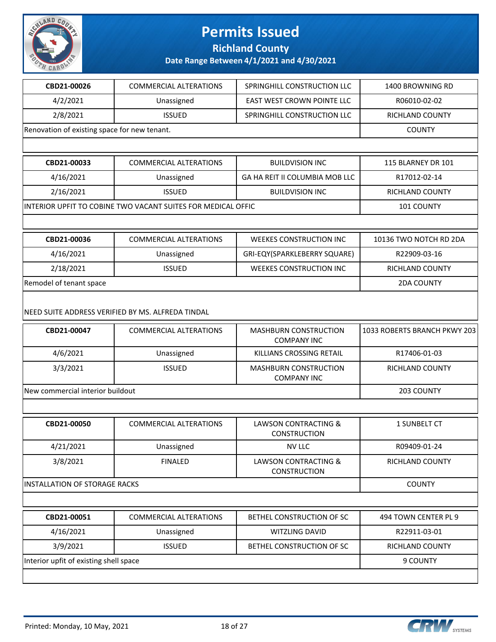

**Richland County**

| CBD21-00026                                  | <b>COMMERCIAL ALTERATIONS</b>                                                      | SPRINGHILL CONSTRUCTION LLC                            | 1400 BROWNING RD             |
|----------------------------------------------|------------------------------------------------------------------------------------|--------------------------------------------------------|------------------------------|
| 4/2/2021                                     | Unassigned                                                                         | EAST WEST CROWN POINTE LLC                             | R06010-02-02                 |
| 2/8/2021                                     | <b>ISSUED</b>                                                                      | SPRINGHILL CONSTRUCTION LLC                            | <b>RICHLAND COUNTY</b>       |
| Renovation of existing space for new tenant. | <b>COUNTY</b>                                                                      |                                                        |                              |
|                                              |                                                                                    |                                                        |                              |
| CBD21-00033                                  | <b>COMMERCIAL ALTERATIONS</b>                                                      | <b>BUILDVISION INC</b>                                 | 115 BLARNEY DR 101           |
| 4/16/2021                                    | Unassigned                                                                         | GA HA REIT II COLUMBIA MOB LLC                         | R17012-02-14                 |
| 2/16/2021                                    | <b>ISSUED</b>                                                                      | <b>BUILDVISION INC</b>                                 | RICHLAND COUNTY              |
|                                              | INTERIOR UPFIT TO COBINE TWO VACANT SUITES FOR MEDICAL OFFIC                       |                                                        | 101 COUNTY                   |
|                                              |                                                                                    |                                                        |                              |
| CBD21-00036                                  | <b>COMMERCIAL ALTERATIONS</b>                                                      | <b>WEEKES CONSTRUCTION INC</b>                         | 10136 TWO NOTCH RD 2DA       |
| 4/16/2021                                    | Unassigned                                                                         | GRI-EQY(SPARKLEBERRY SQUARE)                           | R22909-03-16                 |
| 2/18/2021                                    | <b>ISSUED</b>                                                                      | <b>WEEKES CONSTRUCTION INC</b>                         | RICHLAND COUNTY              |
| Remodel of tenant space                      |                                                                                    |                                                        | <b>2DA COUNTY</b>            |
| CBD21-00047                                  | NEED SUITE ADDRESS VERIFIED BY MS. ALFREDA TINDAL<br><b>COMMERCIAL ALTERATIONS</b> | MASHBURN CONSTRUCTION                                  | 1033 ROBERTS BRANCH PKWY 203 |
|                                              |                                                                                    | <b>COMPANY INC</b>                                     |                              |
| 4/6/2021                                     | Unassigned                                                                         | KILLIANS CROSSING RETAIL                               | R17406-01-03                 |
| 3/3/2021                                     | <b>ISSUED</b>                                                                      | MASHBURN CONSTRUCTION<br><b>COMPANY INC</b>            | RICHLAND COUNTY              |
| New commercial interior buildout             |                                                                                    |                                                        | 203 COUNTY                   |
|                                              |                                                                                    |                                                        |                              |
| CBD21-00050                                  | <b>COMMERCIAL ALTERATIONS</b>                                                      | LAWSON CONTRACTING &<br><b>CONSTRUCTION</b>            | 1 SUNBELT CT                 |
| 4/21/2021                                    | Unassigned                                                                         | <b>NV LLC</b>                                          | R09409-01-24                 |
| 3/8/2021                                     | <b>FINALED</b>                                                                     | <b>LAWSON CONTRACTING &amp;</b><br><b>CONSTRUCTION</b> | RICHLAND COUNTY              |
| INSTALLATION OF STORAGE RACKS                | <b>COUNTY</b>                                                                      |                                                        |                              |
|                                              |                                                                                    |                                                        |                              |
| CBD21-00051                                  | <b>COMMERCIAL ALTERATIONS</b>                                                      | BETHEL CONSTRUCTION OF SC                              | 494 TOWN CENTER PL 9         |
| 4/16/2021                                    | Unassigned                                                                         | WITZLING DAVID                                         | R22911-03-01                 |
| 3/9/2021                                     | <b>ISSUED</b>                                                                      | BETHEL CONSTRUCTION OF SC                              | RICHLAND COUNTY              |
| Interior upfit of existing shell space       |                                                                                    |                                                        | 9 COUNTY                     |
|                                              |                                                                                    |                                                        |                              |

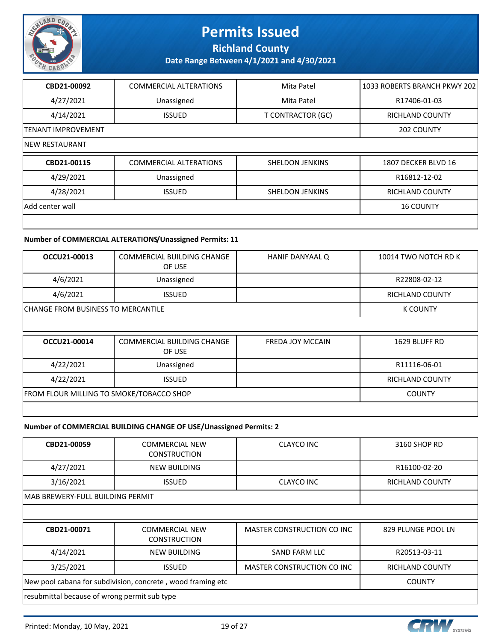

**Richland County**

**Date Range Between 4/1/2021 and 4/30/2021**

| CBD21-00092               | <b>COMMERCIAL ALTERATIONS</b> | Mita Patel             | 1033 ROBERTS BRANCH PKWY 202 |
|---------------------------|-------------------------------|------------------------|------------------------------|
| 4/27/2021                 | Unassigned                    | Mita Patel             | R17406-01-03                 |
| 4/14/2021                 | <b>ISSUED</b>                 | T CONTRACTOR (GC)      | <b>RICHLAND COUNTY</b>       |
| <b>TENANT IMPROVEMENT</b> |                               |                        | 202 COUNTY                   |
| INEW RESTAURANT           |                               |                        |                              |
| CBD21-00115               | <b>COMMERCIAL ALTERATIONS</b> | <b>SHELDON JENKINS</b> | 1807 DECKER BLVD 16          |
| 4/29/2021                 | Unassigned                    |                        | R16812-12-02                 |
| 4/28/2021                 | <b>ISSUED</b>                 | <b>SHELDON JENKINS</b> | <b>RICHLAND COUNTY</b>       |
| Add center wall           |                               |                        | <b>16 COUNTY</b>             |
|                           |                               |                        |                              |

#### **Number of COMMERCIAL ALTERATIONS/Unassigned Permits: 11**

| OCCU21-00013                              | <b>COMMERCIAL BUILDING CHANGE</b><br>OF USE | HANIF DANYAAL Q         | 10014 TWO NOTCH RD K   |
|-------------------------------------------|---------------------------------------------|-------------------------|------------------------|
| 4/6/2021                                  | Unassigned                                  |                         | R22808-02-12           |
| 4/6/2021                                  | <b>ISSUED</b>                               |                         | <b>RICHLAND COUNTY</b> |
| <b>CHANGE FROM BUSINESS TO MERCANTILE</b> |                                             |                         | <b>K COUNTY</b>        |
|                                           |                                             |                         |                        |
| OCCU21-00014                              | <b>COMMERCIAL BUILDING CHANGE</b><br>OF USE | <b>FREDA JOY MCCAIN</b> | 1629 BLUFF RD          |
| 4/22/2021                                 | Unassigned                                  |                         | R11116-06-01           |
| 4/22/2021                                 | <b>ISSUED</b>                               |                         | <b>RICHLAND COUNTY</b> |

FROM FLOUR MILLING TO SMOKE/TOBACCO SHOP COUNTY

#### **Number of COMMERCIAL BUILDING CHANGE OF USE/Unassigned Permits: 2**

| CBD21-00059                                                 | <b>COMMERCIAL NEW</b><br><b>CONSTRUCTION</b> | CLAYCO INC                 | 3160 SHOP RD       |  |
|-------------------------------------------------------------|----------------------------------------------|----------------------------|--------------------|--|
| 4/27/2021                                                   | NEW BUILDING                                 |                            | R16100-02-20       |  |
| 3/16/2021                                                   | <b>ISSUED</b>                                | <b>CLAYCO INC</b>          | RICHLAND COUNTY    |  |
| MAB BREWERY-FULL BUILDING PERMIT                            |                                              |                            |                    |  |
|                                                             |                                              |                            |                    |  |
| CBD21-00071                                                 | <b>COMMERCIAL NEW</b><br><b>CONSTRUCTION</b> | MASTER CONSTRUCTION CO INC | 829 PLUNGE POOL LN |  |
| 4/14/2021                                                   | NEW BUILDING                                 | SAND FARM LLC              | R20513-03-11       |  |
| 3/25/2021                                                   | <b>ISSUED</b>                                | MASTER CONSTRUCTION CO INC | RICHLAND COUNTY    |  |
| New pool cabana for subdivision, concrete, wood framing etc |                                              |                            | <b>COUNTY</b>      |  |
| resubmittal because of wrong permit sub type                |                                              |                            |                    |  |

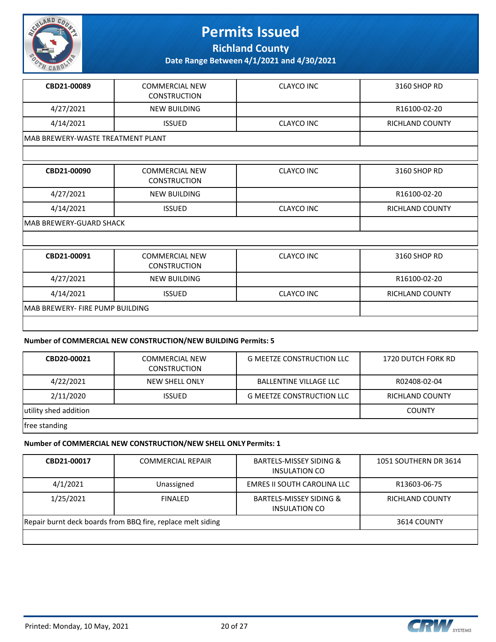

**Richland County**

**Date Range Between 4/1/2021 and 4/30/2021**

| CBD21-00089 | <b>COMMERCIAL NEW</b><br><b>CONSTRUCTION</b> | CLAYCO INC        | 3160 SHOP RD           |  |  |
|-------------|----------------------------------------------|-------------------|------------------------|--|--|
| 4/27/2021   | <b>NEW BUILDING</b>                          |                   | R16100-02-20           |  |  |
| 4/14/2021   | <b>ISSUED</b>                                | <b>CLAYCO INC</b> | <b>RICHLAND COUNTY</b> |  |  |
|             | IMAB BREWERY-WASTE TREATMENT PLANT           |                   |                        |  |  |
|             |                                              |                   |                        |  |  |
| CBD21-00090 | <b>COMMERCIAL NEW</b><br><b>CONSTRUCTION</b> | <b>CLAYCO INC</b> | 3160 SHOP RD           |  |  |
| 4/27/2021   | <b>NEW BUILDING</b>                          |                   | R16100-02-20           |  |  |
| 4/14/2021   | <b>ISSUED</b>                                | <b>CLAYCO INC</b> | <b>RICHLAND COUNTY</b> |  |  |

MAB BREWERY-GUARD SHACK

| CBD21-00091                      | <b>COMMERCIAL NEW</b><br><b>CONSTRUCTION</b> | CLAYCO INC | 3160 SHOP RD           |
|----------------------------------|----------------------------------------------|------------|------------------------|
| 4/27/2021                        | <b>NEW BUILDING</b>                          |            | R16100-02-20           |
| 4/14/2021                        | <b>ISSUED</b>                                | CLAYCO INC | <b>RICHLAND COUNTY</b> |
| IMAB BREWERY- FIRE PUMP BUILDING |                                              |            |                        |
|                                  |                                              |            |                        |

#### **Number of COMMERCIAL NEW CONSTRUCTION/NEW BUILDING Permits: 5**

| CBD20-00021           | <b>COMMERCIAL NEW</b><br><b>CONSTRUCTION</b> | <b>G MEETZE CONSTRUCTION LLC</b> | 1720 DUTCH FORK RD |
|-----------------------|----------------------------------------------|----------------------------------|--------------------|
| 4/22/2021             | NEW SHELL ONLY                               | <b>BALLENTINE VILLAGE LLC</b>    | R02408-02-04       |
| 2/11/2020             | <b>ISSUED</b>                                | <b>G MEETZE CONSTRUCTION LLC</b> | RICHLAND COUNTY    |
| utility shed addition |                                              |                                  | <b>COUNTY</b>      |
| free standing         |                                              |                                  |                    |

#### **Number of COMMERCIAL NEW CONSTRUCTION/NEW SHELL ONLY Permits: 1**

| CBD21-00017                                                 | <b>COMMERCIAL REPAIR</b> | <b>BARTELS-MISSEY SIDING &amp;</b><br>INSULATION CO        | 1051 SOUTHERN DR 3614 |
|-------------------------------------------------------------|--------------------------|------------------------------------------------------------|-----------------------|
| 4/1/2021                                                    | Unassigned               | EMRES II SOUTH CAROLINA LLC                                | R13603-06-75          |
| 1/25/2021                                                   | <b>FINALED</b>           | <b>BARTELS-MISSEY SIDING &amp;</b><br><b>INSULATION CO</b> | RICHLAND COUNTY       |
| Repair burnt deck boards from BBQ fire, replace melt siding |                          |                                                            | 3614 COUNTY           |
|                                                             |                          |                                                            |                       |

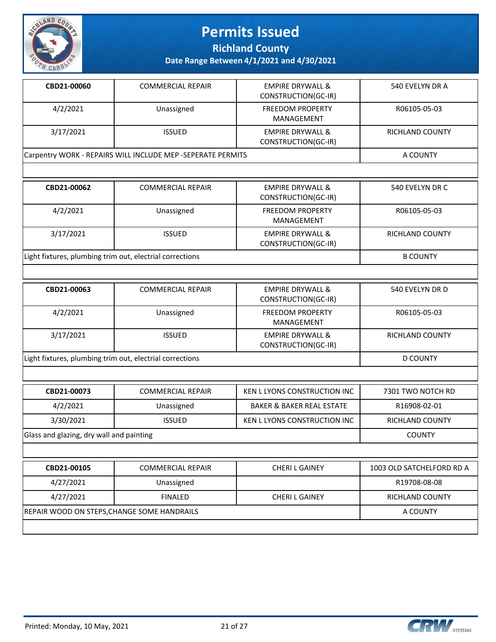

**Richland County**

| CBD21-00060                                                 | <b>COMMERCIAL REPAIR</b> | <b>EMPIRE DRYWALL &amp;</b><br>CONSTRUCTION(GC-IR) | 540 EVELYN DR A |  |
|-------------------------------------------------------------|--------------------------|----------------------------------------------------|-----------------|--|
| 4/2/2021                                                    | Unassigned               | <b>FREEDOM PROPERTY</b><br>MANAGEMENT              | R06105-05-03    |  |
| 3/17/2021                                                   | <b>ISSUED</b>            | <b>EMPIRE DRYWALL &amp;</b><br>CONSTRUCTION(GC-IR) | RICHLAND COUNTY |  |
| Carpentry WORK - REPAIRS WILL INCLUDE MEP -SEPERATE PERMITS |                          |                                                    | A COUNTY        |  |
|                                                             |                          |                                                    |                 |  |

| CBD21-00062                                              | <b>COMMERCIAL REPAIR</b> | <b>EMPIRE DRYWALL &amp;</b><br>CONSTRUCTION(GC-IR) | 540 EVELYN DR C        |
|----------------------------------------------------------|--------------------------|----------------------------------------------------|------------------------|
| 4/2/2021                                                 | Unassigned               | <b>FREEDOM PROPERTY</b><br>MANAGEMENT              | R06105-05-03           |
| 3/17/2021                                                | <b>ISSUED</b>            | <b>EMPIRE DRYWALL &amp;</b><br>CONSTRUCTION(GC-IR) | <b>RICHLAND COUNTY</b> |
| Light fixtures, plumbing trim out, electrial corrections |                          |                                                    | <b>B COUNTY</b>        |

| CBD21-00063                                              | <b>COMMERCIAL REPAIR</b> | <b>EMPIRE DRYWALL &amp;</b><br>CONSTRUCTION(GC-IR) | 540 EVELYN DR D |
|----------------------------------------------------------|--------------------------|----------------------------------------------------|-----------------|
| 4/2/2021                                                 | Unassigned               | <b>FREEDOM PROPERTY</b><br>MANAGEMENT              | R06105-05-03    |
| 3/17/2021                                                | <b>ISSUED</b>            | <b>EMPIRE DRYWALL &amp;</b><br>CONSTRUCTION(GC-IR) | RICHLAND COUNTY |
| Light fixtures, plumbing trim out, electrial corrections |                          |                                                    | D COUNTY        |

| CBD21-00073                              | <b>COMMERCIAL REPAIR</b> | KEN L LYONS CONSTRUCTION INC         | 7301 TWO NOTCH RD |
|------------------------------------------|--------------------------|--------------------------------------|-------------------|
| 4/2/2021                                 | Unassigned               | <b>BAKER &amp; BAKER REAL ESTATE</b> | R16908-02-01      |
| 3/30/2021                                | <b>ISSUED</b>            | KEN L LYONS CONSTRUCTION INC         | RICHLAND COUNTY   |
| Glass and glazing, dry wall and painting |                          |                                      | <b>COUNTY</b>     |
|                                          |                          |                                      |                   |

| CBD21-00105                                        | <b>COMMERCIAL REPAIR</b> | <b>CHERIL GAINEY</b> | 1003 OLD SATCHELFORD RD A |
|----------------------------------------------------|--------------------------|----------------------|---------------------------|
| 4/27/2021                                          | Unassigned               |                      | R19708-08-08              |
| 4/27/2021                                          | <b>FINALED</b>           | <b>CHERIL GAINEY</b> | <b>RICHLAND COUNTY</b>    |
| <b>REPAIR WOOD ON STEPS, CHANGE SOME HANDRAILS</b> |                          |                      | A COUNTY                  |
|                                                    |                          |                      |                           |



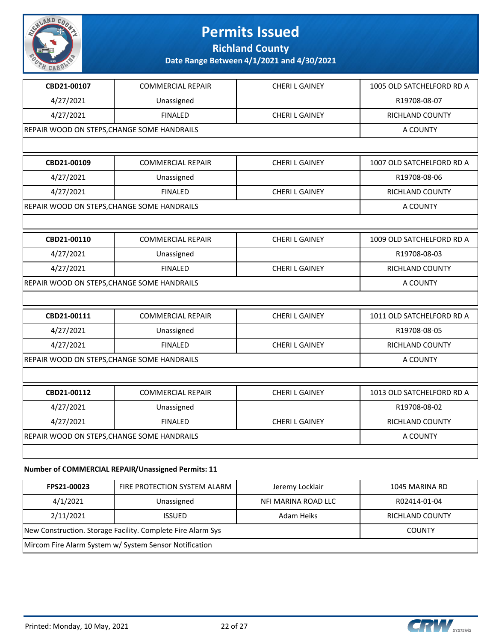

**Richland County**

**Date Range Between 4/1/2021 and 4/30/2021**

| CBD21-00107                                 | <b>COMMERCIAL REPAIR</b>                                      | <b>CHERI L GAINEY</b> | 1005 OLD SATCHELFORD RD A |
|---------------------------------------------|---------------------------------------------------------------|-----------------------|---------------------------|
| 4/27/2021                                   | Unassigned                                                    |                       | R19708-08-07              |
| 4/27/2021                                   | <b>FINALED</b>                                                | <b>CHERIL GAINEY</b>  | RICHLAND COUNTY           |
| REPAIR WOOD ON STEPS, CHANGE SOME HANDRAILS |                                                               |                       | A COUNTY                  |
|                                             |                                                               |                       |                           |
| CBD21-00109                                 | <b>COMMERCIAL REPAIR</b>                                      | <b>CHERIL GAINEY</b>  | 1007 OLD SATCHELFORD RD A |
| 4/27/2021                                   | Unassigned                                                    |                       | R19708-08-06              |
| 4/27/2021                                   | <b>FINALED</b>                                                | <b>CHERI L GAINEY</b> | RICHLAND COUNTY           |
| REPAIR WOOD ON STEPS, CHANGE SOME HANDRAILS |                                                               |                       | A COUNTY                  |
|                                             |                                                               |                       |                           |
| CBD21-00110                                 | <b>COMMERCIAL REPAIR</b>                                      | <b>CHERI L GAINEY</b> | 1009 OLD SATCHELFORD RD A |
| 4/27/2021                                   | Unassigned                                                    |                       | R19708-08-03              |
| 4/27/2021                                   | <b>FINALED</b>                                                | <b>CHERIL GAINEY</b>  | RICHLAND COUNTY           |
| REPAIR WOOD ON STEPS, CHANGE SOME HANDRAILS |                                                               |                       | A COUNTY                  |
|                                             |                                                               |                       |                           |
| CBD21-00111                                 | <b>COMMERCIAL REPAIR</b>                                      | <b>CHERIL GAINEY</b>  | 1011 OLD SATCHELFORD RD A |
| 4/27/2021                                   | Unassigned                                                    |                       | R19708-08-05              |
| 4/27/2021                                   | <b>FINALED</b>                                                | <b>CHERI L GAINEY</b> | RICHLAND COUNTY           |
| REPAIR WOOD ON STEPS, CHANGE SOME HANDRAILS |                                                               |                       | A COUNTY                  |
|                                             |                                                               |                       |                           |
| CBD21-00112                                 | <b>COMMERCIAL REPAIR</b>                                      | <b>CHERI L GAINEY</b> | 1013 OLD SATCHELFORD RD A |
| 4/27/2021                                   | Unassigned                                                    |                       | R19708-08-02              |
| 4/27/2021                                   | <b>FINALED</b>                                                | <b>CHERI L GAINEY</b> | RICHLAND COUNTY           |
| REPAIR WOOD ON STEPS, CHANGE SOME HANDRAILS |                                                               |                       | A COUNTY                  |
|                                             |                                                               |                       |                           |
|                                             | $\ldots$ of constant point provided the sector of provided 44 |                       |                           |

#### **Number of COMMERCIAL REPAIR/Unassigned Permits: 11**

| FPS21-00023                                                 | FIRE PROTECTION SYSTEM ALARM | Jeremy Locklair     | 1045 MARINA RD         |
|-------------------------------------------------------------|------------------------------|---------------------|------------------------|
| 4/1/2021                                                    | Unassigned                   | NFI MARINA ROAD LLC | R02414-01-04           |
| 2/11/2021                                                   | <b>ISSUED</b>                | Adam Heiks          | <b>RICHLAND COUNTY</b> |
| New Construction. Storage Facility. Complete Fire Alarm Sys |                              |                     | <b>COUNTY</b>          |
| Mircom Fire Alarm System w/ System Sensor Notification      |                              |                     |                        |

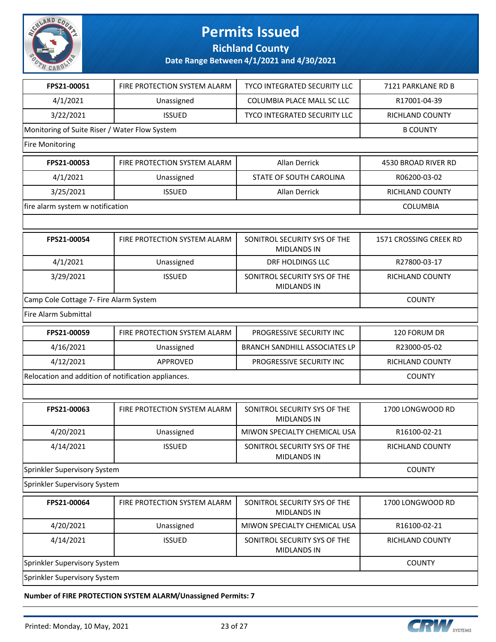

**Richland County**

**Date Range Between 4/1/2021 and 4/30/2021**

| FPS21-00051                                         | FIRE PROTECTION SYSTEM ALARM                  | <b>TYCO INTEGRATED SECURITY LLC</b>                | 7121 PARKLANE RD B     |  |  |
|-----------------------------------------------------|-----------------------------------------------|----------------------------------------------------|------------------------|--|--|
| 4/1/2021                                            | Unassigned                                    | COLUMBIA PLACE MALL SC LLC                         | R17001-04-39           |  |  |
| 3/22/2021                                           | <b>ISSUED</b>                                 | TYCO INTEGRATED SECURITY LLC                       | RICHLAND COUNTY        |  |  |
|                                                     | Monitoring of Suite Riser / Water Flow System |                                                    |                        |  |  |
| <b>Fire Monitoring</b>                              |                                               |                                                    |                        |  |  |
| FPS21-00053                                         | FIRE PROTECTION SYSTEM ALARM                  | Allan Derrick                                      | 4530 BROAD RIVER RD    |  |  |
| 4/1/2021                                            | Unassigned                                    | STATE OF SOUTH CAROLINA                            | R06200-03-02           |  |  |
| 3/25/2021                                           | <b>ISSUED</b>                                 | Allan Derrick                                      | RICHLAND COUNTY        |  |  |
| fire alarm system w notification                    |                                               |                                                    | <b>COLUMBIA</b>        |  |  |
|                                                     |                                               |                                                    |                        |  |  |
| FPS21-00054                                         | FIRE PROTECTION SYSTEM ALARM                  | SONITROL SECURITY SYS OF THE<br><b>MIDLANDS IN</b> | 1571 CROSSING CREEK RD |  |  |
| 4/1/2021                                            | Unassigned                                    | DRF HOLDINGS LLC                                   | R27800-03-17           |  |  |
| 3/29/2021                                           | <b>ISSUED</b>                                 | SONITROL SECURITY SYS OF THE<br><b>MIDLANDS IN</b> | RICHLAND COUNTY        |  |  |
| Camp Cole Cottage 7- Fire Alarm System              | <b>COUNTY</b>                                 |                                                    |                        |  |  |
| <b>Fire Alarm Submittal</b>                         |                                               |                                                    |                        |  |  |
| FPS21-00059                                         | FIRE PROTECTION SYSTEM ALARM                  | PROGRESSIVE SECURITY INC                           | 120 FORUM DR           |  |  |
| 4/16/2021                                           | Unassigned                                    | <b>BRANCH SANDHILL ASSOCIATES LP</b>               | R23000-05-02           |  |  |
| 4/12/2021                                           | APPROVED                                      | PROGRESSIVE SECURITY INC                           | RICHLAND COUNTY        |  |  |
| Relocation and addition of notification appliances. |                                               |                                                    | <b>COUNTY</b>          |  |  |
|                                                     |                                               |                                                    |                        |  |  |
| FPS21-00063                                         | FIRE PROTECTION SYSTEM ALARM                  | SONITROL SECURITY SYS OF THE<br><b>MIDLANDS IN</b> | 1700 LONGWOOD RD       |  |  |
| 4/20/2021                                           | Unassigned                                    | MIWON SPECIALTY CHEMICAL USA                       | R16100-02-21           |  |  |
| 4/14/2021                                           | <b>ISSUED</b>                                 | SONITROL SECURITY SYS OF THE<br><b>MIDLANDS IN</b> | RICHLAND COUNTY        |  |  |
| Sprinkler Supervisory System                        |                                               |                                                    | <b>COUNTY</b>          |  |  |
| Sprinkler Supervisory System                        |                                               |                                                    |                        |  |  |
| FPS21-00064                                         | FIRE PROTECTION SYSTEM ALARM                  | SONITROL SECURITY SYS OF THE<br><b>MIDLANDS IN</b> | 1700 LONGWOOD RD       |  |  |
| 4/20/2021                                           | Unassigned                                    | MIWON SPECIALTY CHEMICAL USA                       | R16100-02-21           |  |  |
| 4/14/2021                                           | <b>ISSUED</b>                                 | SONITROL SECURITY SYS OF THE<br><b>MIDLANDS IN</b> | RICHLAND COUNTY        |  |  |
| Sprinkler Supervisory System                        |                                               |                                                    | <b>COUNTY</b>          |  |  |
| Sprinkler Supervisory System                        |                                               |                                                    |                        |  |  |
|                                                     |                                               |                                                    |                        |  |  |

**Number of FIRE PROTECTION SYSTEM ALARM/Unassigned Permits: 7**

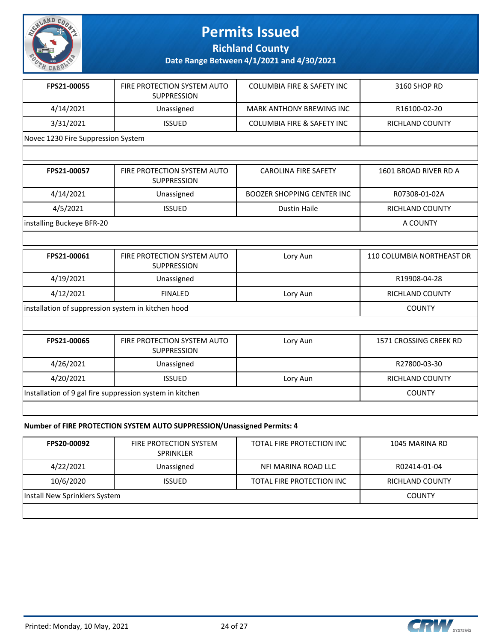

**Richland County**

**Date Range Between 4/1/2021 and 4/30/2021**

| FPS21-00055                        | FIRE PROTECTION SYSTEM AUTO<br><b>SUPPRESSION</b> | <b>COLUMBIA FIRE &amp; SAFETY INC</b> | 3160 SHOP RD    |
|------------------------------------|---------------------------------------------------|---------------------------------------|-----------------|
| 4/14/2021                          | Unassigned                                        | MARK ANTHONY BREWING INC              | R16100-02-20    |
| 3/31/2021                          | <b>ISSUED</b>                                     | <b>COLUMBIA FIRE &amp; SAFETY INC</b> | RICHLAND COUNTY |
| Novec 1230 Fire Suppression System |                                                   |                                       |                 |

| FPS21-00057               | FIRE PROTECTION SYSTEM AUTO<br><b>SUPPRESSION</b> | <b>CAROLINA FIRE SAFETY</b> | 1601 BROAD RIVER RD A |
|---------------------------|---------------------------------------------------|-----------------------------|-----------------------|
| 4/14/2021                 | Unassigned                                        | BOOZER SHOPPING CENTER INC  | R07308-01-02A         |
| 4/5/2021                  | <b>ISSUED</b>                                     | Dustin Haile                | RICHLAND COUNTY       |
| installing Buckeye BFR-20 |                                                   |                             | A COUNTY              |

| FPS21-00061                                        | FIRE PROTECTION SYSTEM AUTO<br><b>SUPPRESSION</b> | Lory Aun | 110 COLUMBIA NORTHEAST DR |
|----------------------------------------------------|---------------------------------------------------|----------|---------------------------|
| 4/19/2021                                          | Unassigned                                        |          | R19908-04-28              |
| 4/12/2021                                          | <b>FINALED</b>                                    | Lory Aun | RICHLAND COUNTY           |
| installation of suppression system in kitchen hood |                                                   |          | <b>COUNTY</b>             |

| FPS21-00065                                              | FIRE PROTECTION SYSTEM AUTO<br>SUPPRESSION | Lory Aun | 1571 CROSSING CREEK RD |
|----------------------------------------------------------|--------------------------------------------|----------|------------------------|
| 4/26/2021                                                | Unassigned                                 |          | R27800-03-30           |
| 4/20/2021                                                | <b>ISSUED</b>                              | Lory Aun | <b>RICHLAND COUNTY</b> |
| Installation of 9 gal fire suppression system in kitchen |                                            |          | <b>COUNTY</b>          |
|                                                          |                                            |          |                        |

#### **Number of FIRE PROTECTION SYSTEM AUTO SUPPRESSION/Unassigned Permits: 4**

| <b>FPS20-00092</b>            | <b>FIRE PROTECTION SYSTEM</b><br><b>SPRINKLER</b> | TOTAL FIRE PROTECTION INC | 1045 MARINA RD  |
|-------------------------------|---------------------------------------------------|---------------------------|-----------------|
| 4/22/2021                     | Unassigned                                        | NFI MARINA ROAD LLC       | R02414-01-04    |
| 10/6/2020                     | <b>ISSUED</b>                                     | TOTAL FIRE PROTECTION INC | RICHLAND COUNTY |
| Install New Sprinklers System |                                                   |                           | <b>COUNTY</b>   |
|                               |                                                   |                           |                 |



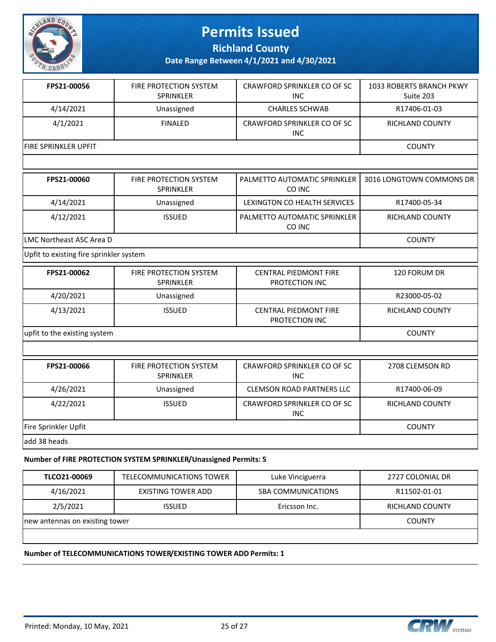

**Richland County**

**Date Range Between 4/1/2021 and 4/30/2021**

| 4/14/2021<br>Unassigned<br>4/1/2021<br><b>FINALED</b><br>FIRE SPRINKLER UPFIT<br>FIRE PROTECTION SYSTEM<br>FPS21-00060<br><b>SPRINKLER</b> | <b>CHARLES SCHWAB</b><br>CRAWFORD SPRINKLER CO OF SC<br><b>INC</b><br>PALMETTO AUTOMATIC SPRINKLER<br>CO INC<br>LEXINGTON CO HEALTH SERVICES<br>PALMETTO AUTOMATIC SPRINKLER | R17406-01-03<br>RICHLAND COUNTY<br><b>COUNTY</b><br>3016 LONGTOWN COMMONS DR<br>R17400-05-34 |
|--------------------------------------------------------------------------------------------------------------------------------------------|------------------------------------------------------------------------------------------------------------------------------------------------------------------------------|----------------------------------------------------------------------------------------------|
|                                                                                                                                            |                                                                                                                                                                              |                                                                                              |
|                                                                                                                                            |                                                                                                                                                                              |                                                                                              |
|                                                                                                                                            |                                                                                                                                                                              |                                                                                              |
|                                                                                                                                            |                                                                                                                                                                              |                                                                                              |
|                                                                                                                                            |                                                                                                                                                                              |                                                                                              |
| 4/14/2021<br>Unassigned                                                                                                                    |                                                                                                                                                                              |                                                                                              |
| 4/12/2021<br><b>ISSUED</b>                                                                                                                 | CO INC                                                                                                                                                                       | RICHLAND COUNTY                                                                              |
| LMC Northeast ASC Area D                                                                                                                   | <b>COUNTY</b>                                                                                                                                                                |                                                                                              |
| Upfit to existing fire sprinkler system                                                                                                    |                                                                                                                                                                              |                                                                                              |
| FPS21-00062<br>FIRE PROTECTION SYSTEM<br>SPRINKLER                                                                                         | <b>CENTRAL PIEDMONT FIRE</b><br>PROTECTION INC                                                                                                                               | 120 FORUM DR                                                                                 |
| 4/20/2021<br>Unassigned                                                                                                                    |                                                                                                                                                                              | R23000-05-02                                                                                 |
| 4/13/2021<br><b>ISSUED</b>                                                                                                                 | <b>CENTRAL PIEDMONT FIRE</b><br>PROTECTION INC                                                                                                                               | RICHLAND COUNTY                                                                              |
| upfit to the existing system                                                                                                               |                                                                                                                                                                              | <b>COUNTY</b>                                                                                |
|                                                                                                                                            |                                                                                                                                                                              |                                                                                              |
| FPS21-00066<br>FIRE PROTECTION SYSTEM<br>SPRINKLER                                                                                         | CRAWFORD SPRINKLER CO OF SC<br><b>INC</b>                                                                                                                                    | 2708 CLEMSON RD                                                                              |
| 4/26/2021<br>Unassigned                                                                                                                    | <b>CLEMSON ROAD PARTNERS LLC</b>                                                                                                                                             | R17400-06-09                                                                                 |
| <b>ISSUED</b><br>4/22/2021                                                                                                                 | CRAWFORD SPRINKLER CO OF SC<br><b>INC</b>                                                                                                                                    | RICHLAND COUNTY                                                                              |
| Fire Sprinkler Upfit                                                                                                                       |                                                                                                                                                                              | <b>COUNTY</b>                                                                                |
| add 38 heads                                                                                                                               |                                                                                                                                                                              |                                                                                              |

#### **Number of FIRE PROTECTION SYSTEM SPRINKLER/Unassigned Permits: 5**

| TLCO21-00069                   | TELECOMMUNICATIONS TOWER | Luke Vinciguerra          | 2727 COLONIAL DR |
|--------------------------------|--------------------------|---------------------------|------------------|
| 4/16/2021                      | EXISTING TOWER ADD       | <b>SBA COMMUNICATIONS</b> | R11502-01-01     |
| 2/5/2021                       | <b>ISSUED</b>            | Ericsson Inc.             | RICHLAND COUNTY  |
| new antennas on existing tower |                          |                           | <b>COUNTY</b>    |

#### **Number of TELECOMMUNICATIONS TOWER/EXISTING TOWER ADD Permits: 1**

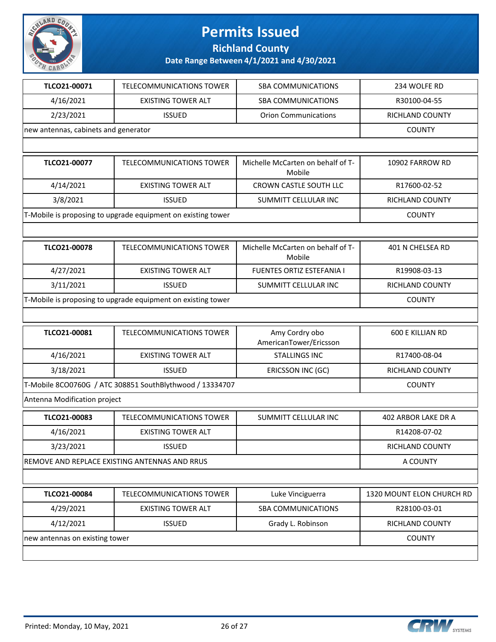

**Richland County**

| TLCO21-00071                         | <b>TELECOMMUNICATIONS TOWER</b>                              | <b>SBA COMMUNICATIONS</b>                   | 234 WOLFE RD               |
|--------------------------------------|--------------------------------------------------------------|---------------------------------------------|----------------------------|
| 4/16/2021                            | <b>EXISTING TOWER ALT</b>                                    | <b>SBA COMMUNICATIONS</b>                   | R30100-04-55               |
| 2/23/2021                            | <b>ISSUED</b>                                                | <b>Orion Communications</b>                 | RICHLAND COUNTY            |
| new antennas, cabinets and generator |                                                              |                                             | <b>COUNTY</b>              |
|                                      |                                                              |                                             |                            |
| TLCO21-00077                         | <b>TELECOMMUNICATIONS TOWER</b>                              | Michelle McCarten on behalf of T-<br>Mobile | 10902 FARROW RD            |
| 4/14/2021                            | <b>EXISTING TOWER ALT</b>                                    | CROWN CASTLE SOUTH LLC                      | R17600-02-52               |
| 3/8/2021                             | <b>ISSUED</b>                                                | SUMMITT CELLULAR INC                        | RICHLAND COUNTY            |
|                                      | T-Mobile is proposing to upgrade equipment on existing tower |                                             | <b>COUNTY</b>              |
|                                      |                                                              |                                             |                            |
| TLCO21-00078                         | TELECOMMUNICATIONS TOWER                                     | Michelle McCarten on behalf of T-<br>Mobile | 401 N CHELSEA RD           |
| 4/27/2021                            | <b>EXISTING TOWER ALT</b>                                    | FUENTES ORTIZ ESTEFANIA I                   | R19908-03-13               |
| 3/11/2021                            | <b>ISSUED</b>                                                | SUMMITT CELLULAR INC                        | RICHLAND COUNTY            |
|                                      | T-Mobile is proposing to upgrade equipment on existing tower |                                             | <b>COUNTY</b>              |
|                                      |                                                              |                                             |                            |
| TLCO21-00081                         | <b>TELECOMMUNICATIONS TOWER</b>                              | Amy Cordry obo<br>AmericanTower/Ericsson    | <b>600 E KILLIAN RD</b>    |
| 4/16/2021                            | <b>EXISTING TOWER ALT</b>                                    | <b>STALLINGS INC</b>                        | R17400-08-04               |
| 3/18/2021                            | <b>ISSUED</b>                                                | ERICSSON INC (GC)                           | RICHLAND COUNTY            |
|                                      | T-Mobile 8CO0760G / ATC 308851 SouthBlythwood / 13334707     |                                             | <b>COUNTY</b>              |
| Antenna Modification project         |                                                              |                                             |                            |
| TLCO21-00083                         | <b>TELECOMMUNICATIONS TOWER</b>                              | SUMMITT CELLULAR INC                        | <b>402 ARBOR LAKE DR A</b> |
| 4/16/2021                            | <b>EXISTING TOWER ALT</b>                                    |                                             | R14208-07-02               |
| 3/23/2021                            | <b>ISSUED</b>                                                |                                             | RICHLAND COUNTY            |
|                                      | REMOVE AND REPLACE EXISTING ANTENNAS AND RRUS                |                                             | A COUNTY                   |
|                                      |                                                              |                                             |                            |
| TLCO21-00084                         | TELECOMMUNICATIONS TOWER                                     | Luke Vinciguerra                            | 1320 MOUNT ELON CHURCH RD  |
| 4/29/2021                            | <b>EXISTING TOWER ALT</b>                                    | <b>SBA COMMUNICATIONS</b>                   | R28100-03-01               |
| 4/12/2021                            | <b>ISSUED</b>                                                | Grady L. Robinson                           | RICHLAND COUNTY            |
| new antennas on existing tower       |                                                              |                                             | <b>COUNTY</b>              |
|                                      |                                                              |                                             |                            |